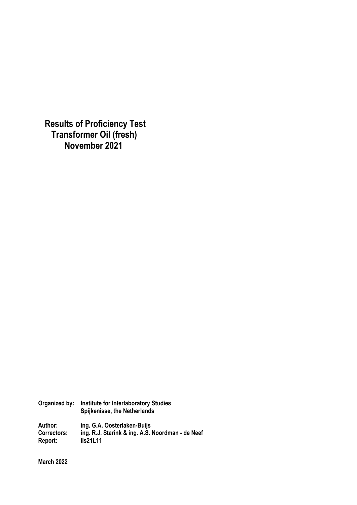**Results of Proficiency Test Transformer Oil (fresh) November 2021**

| Organized by:      | <b>Institute for Interlaboratory Studies</b><br>Spijkenisse, the Netherlands |
|--------------------|------------------------------------------------------------------------------|
| Author:            | ing. G.A. Oosterlaken-Buijs                                                  |
| <b>Correctors:</b> | ing. R.J. Starink & ing. A.S. Noordman - de Neef                             |
| Report:            | iis21L11                                                                     |

**March 2022**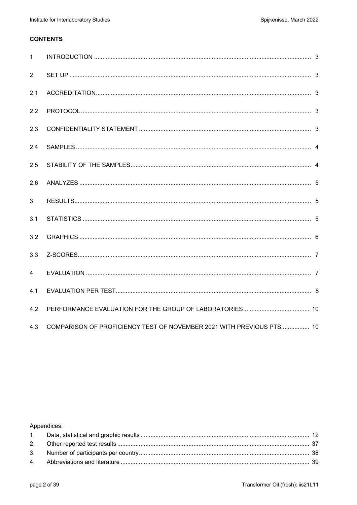# **CONTENTS**

| $\mathbf{1}$ |                                                                      |  |
|--------------|----------------------------------------------------------------------|--|
| 2            |                                                                      |  |
| 2.1          |                                                                      |  |
| 2.2          |                                                                      |  |
| 2.3          |                                                                      |  |
| 2.4          |                                                                      |  |
| 2.5          |                                                                      |  |
| 2.6          |                                                                      |  |
| 3            |                                                                      |  |
| 3.1          |                                                                      |  |
| 3.2          |                                                                      |  |
| 3.3          |                                                                      |  |
| 4            |                                                                      |  |
| 4.1          |                                                                      |  |
| 4.2          |                                                                      |  |
| 4.3          | COMPARISON OF PROFICIENCY TEST OF NOVEMBER 2021 WITH PREVIOUS PTS 10 |  |

Appendices: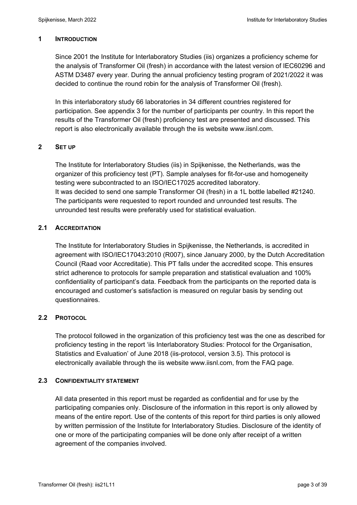## **1 INTRODUCTION**

Since 2001 the Institute for Interlaboratory Studies (iis) organizes a proficiency scheme for the analysis of Transformer Oil (fresh) in accordance with the latest version of IEC60296 and ASTM D3487 every year. During the annual proficiency testing program of 2021/2022 it was decided to continue the round robin for the analysis of Transformer Oil (fresh).

In this interlaboratory study 66 laboratories in 34 different countries registered for participation. See appendix 3 for the number of participants per country. In this report the results of the Transformer Oil (fresh) proficiency test are presented and discussed. This report is also electronically available through the iis website www.iisnl.com.

## **2 SET UP**

The Institute for Interlaboratory Studies (iis) in Spijkenisse, the Netherlands, was the organizer of this proficiency test (PT). Sample analyses for fit-for-use and homogeneity testing were subcontracted to an ISO/IEC17025 accredited laboratory. It was decided to send one sample Transformer Oil (fresh) in a 1L bottle labelled #21240. The participants were requested to report rounded and unrounded test results. The unrounded test results were preferably used for statistical evaluation.

## **2.1 ACCREDITATION**

The Institute for Interlaboratory Studies in Spijkenisse, the Netherlands, is accredited in agreement with ISO/IEC17043:2010 (R007), since January 2000, by the Dutch Accreditation Council (Raad voor Accreditatie). This PT falls under the accredited scope. This ensures strict adherence to protocols for sample preparation and statistical evaluation and 100% confidentiality of participant's data. Feedback from the participants on the reported data is encouraged and customer's satisfaction is measured on regular basis by sending out questionnaires.

## **2.2 PROTOCOL**

The protocol followed in the organization of this proficiency test was the one as described for proficiency testing in the report 'iis Interlaboratory Studies: Protocol for the Organisation, Statistics and Evaluation' of June 2018 (iis-protocol, version 3.5). This protocol is electronically available through the iis website www.iisnl.com, from the FAQ page.

### **2.3 CONFIDENTIALITY STATEMENT**

All data presented in this report must be regarded as confidential and for use by the participating companies only. Disclosure of the information in this report is only allowed by means of the entire report. Use of the contents of this report for third parties is only allowed by written permission of the Institute for Interlaboratory Studies. Disclosure of the identity of one or more of the participating companies will be done only after receipt of a written agreement of the companies involved.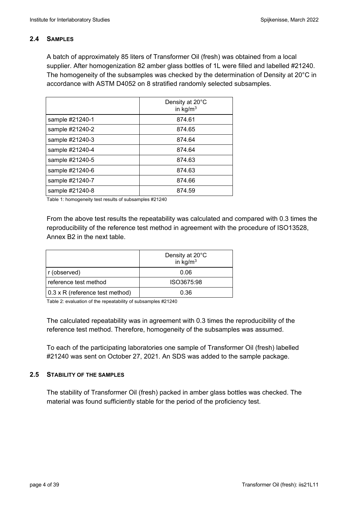## **2.4 SAMPLES**

A batch of approximately 85 liters of Transformer Oil (fresh) was obtained from a local supplier. After homogenization 82 amber glass bottles of 1L were filled and labelled #21240. The homogeneity of the subsamples was checked by the determination of Density at 20°C in accordance with ASTM D4052 on 8 stratified randomly selected subsamples.

|                 | Density at 20°C<br>in $kg/m3$ |
|-----------------|-------------------------------|
| sample #21240-1 | 874.61                        |
| sample #21240-2 | 874.65                        |
| sample #21240-3 | 874.64                        |
| sample #21240-4 | 874.64                        |
| sample #21240-5 | 874.63                        |
| sample #21240-6 | 874.63                        |
| sample #21240-7 | 874.66                        |
| sample #21240-8 | 874.59                        |

Table 1: homogeneity test results of subsamples #21240

From the above test results the repeatability was calculated and compared with 0.3 times the reproducibility of the reference test method in agreement with the procedure of ISO13528, Annex B2 in the next table.

|                                 | Density at 20°C<br>in $\text{kg/m}^3$ |
|---------------------------------|---------------------------------------|
| r (observed)                    | 0.06                                  |
| reference test method           | ISO3675:98                            |
| 0.3 x R (reference test method) | 0.36                                  |

Table 2: evaluation of the repeatability of subsamples #21240

The calculated repeatability was in agreement with 0.3 times the reproducibility of the reference test method. Therefore, homogeneity of the subsamples was assumed.

To each of the participating laboratories one sample of Transformer Oil (fresh) labelled #21240 was sent on October 27, 2021. An SDS was added to the sample package.

### **2.5 STABILITY OF THE SAMPLES**

The stability of Transformer Oil (fresh) packed in amber glass bottles was checked. The material was found sufficiently stable for the period of the proficiency test.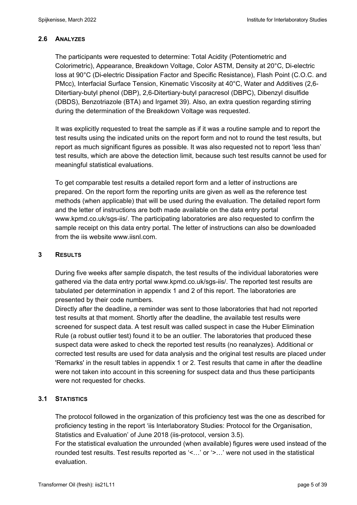## **2.6 ANALYZES**

The participants were requested to determine: Total Acidity (Potentiometric and Colorimetric), Appearance, Breakdown Voltage, Color ASTM, Density at 20°C, Di-electric loss at 90°C (Di-electric Dissipation Factor and Specific Resistance), Flash Point (C.O.C. and PMcc), Interfacial Surface Tension, Kinematic Viscosity at 40°C, Water and Additives (2,6- Ditertiary-butyl phenol (DBP), 2,6-Ditertiary-butyl paracresol (DBPC), Dibenzyl disulfide (DBDS), Benzotriazole (BTA) and Irgamet 39). Also, an extra question regarding stirring during the determination of the Breakdown Voltage was requested.

It was explicitly requested to treat the sample as if it was a routine sample and to report the test results using the indicated units on the report form and not to round the test results, but report as much significant figures as possible. It was also requested not to report 'less than' test results, which are above the detection limit, because such test results cannot be used for meaningful statistical evaluations.

To get comparable test results a detailed report form and a letter of instructions are prepared. On the report form the reporting units are given as well as the reference test methods (when applicable) that will be used during the evaluation. The detailed report form and the letter of instructions are both made available on the data entry portal www.kpmd.co.uk/sgs-iis/. The participating laboratories are also requested to confirm the sample receipt on this data entry portal. The letter of instructions can also be downloaded from the iis website www.iisnl.com.

### **3 RESULTS**

During five weeks after sample dispatch, the test results of the individual laboratories were gathered via the data entry portal www.kpmd.co.uk/sgs-iis/. The reported test results are tabulated per determination in appendix 1 and 2 of this report. The laboratories are presented by their code numbers.

Directly after the deadline, a reminder was sent to those laboratories that had not reported test results at that moment. Shortly after the deadline, the available test results were screened for suspect data. A test result was called suspect in case the Huber Elimination Rule (a robust outlier test) found it to be an outlier. The laboratories that produced these suspect data were asked to check the reported test results (no reanalyzes). Additional or corrected test results are used for data analysis and the original test results are placed under 'Remarks' in the result tables in appendix 1 or 2. Test results that came in after the deadline were not taken into account in this screening for suspect data and thus these participants were not requested for checks.

## **3.1 STATISTICS**

The protocol followed in the organization of this proficiency test was the one as described for proficiency testing in the report 'iis Interlaboratory Studies: Protocol for the Organisation, Statistics and Evaluation' of June 2018 (iis-protocol, version 3.5).

For the statistical evaluation the unrounded (when available) figures were used instead of the rounded test results. Test results reported as '<…' or '>…' were not used in the statistical evaluation.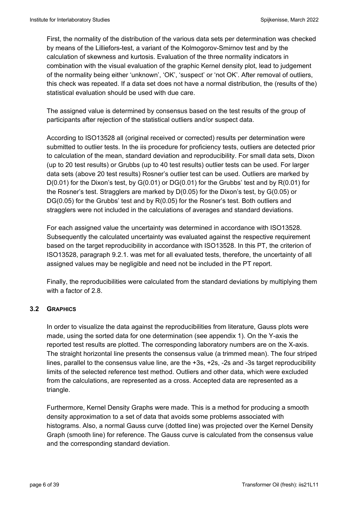First, the normality of the distribution of the various data sets per determination was checked by means of the Lilliefors-test, a variant of the Kolmogorov-Smirnov test and by the calculation of skewness and kurtosis. Evaluation of the three normality indicators in combination with the visual evaluation of the graphic Kernel density plot, lead to judgement of the normality being either 'unknown', 'OK', 'suspect' or 'not OK'. After removal of outliers, this check was repeated. If a data set does not have a normal distribution, the (results of the) statistical evaluation should be used with due care.

The assigned value is determined by consensus based on the test results of the group of participants after rejection of the statistical outliers and/or suspect data.

According to ISO13528 all (original received or corrected) results per determination were submitted to outlier tests. In the iis procedure for proficiency tests, outliers are detected prior to calculation of the mean, standard deviation and reproducibility. For small data sets, Dixon (up to 20 test results) or Grubbs (up to 40 test results) outlier tests can be used. For larger data sets (above 20 test results) Rosner's outlier test can be used. Outliers are marked by D(0.01) for the Dixon's test, by G(0.01) or DG(0.01) for the Grubbs' test and by R(0.01) for the Rosner's test. Stragglers are marked by D(0.05) for the Dixon's test, by G(0.05) or DG(0.05) for the Grubbs' test and by R(0.05) for the Rosner's test. Both outliers and stragglers were not included in the calculations of averages and standard deviations.

For each assigned value the uncertainty was determined in accordance with ISO13528. Subsequently the calculated uncertainty was evaluated against the respective requirement based on the target reproducibility in accordance with ISO13528. In this PT, the criterion of ISO13528, paragraph 9.2.1. was met for all evaluated tests, therefore, the uncertainty of all assigned values may be negligible and need not be included in the PT report.

Finally, the reproducibilities were calculated from the standard deviations by multiplying them with a factor of 2.8.

### **3.2 GRAPHICS**

In order to visualize the data against the reproducibilities from literature, Gauss plots were made, using the sorted data for one determination (see appendix 1). On the Y-axis the reported test results are plotted. The corresponding laboratory numbers are on the X-axis. The straight horizontal line presents the consensus value (a trimmed mean). The four striped lines, parallel to the consensus value line, are the +3s, +2s, -2s and -3s target reproducibility limits of the selected reference test method. Outliers and other data, which were excluded from the calculations, are represented as a cross. Accepted data are represented as a triangle.

Furthermore, Kernel Density Graphs were made. This is a method for producing a smooth density approximation to a set of data that avoids some problems associated with histograms. Also, a normal Gauss curve (dotted line) was projected over the Kernel Density Graph (smooth line) for reference. The Gauss curve is calculated from the consensus value and the corresponding standard deviation.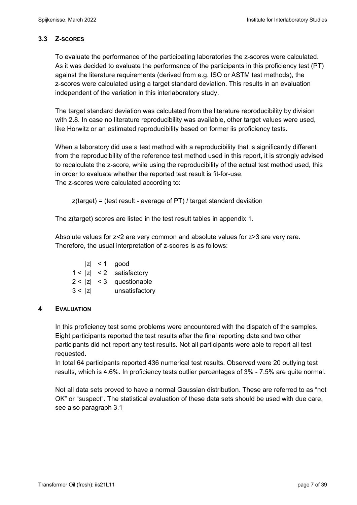## **3.3 Z-SCORES**

To evaluate the performance of the participating laboratories the z-scores were calculated. As it was decided to evaluate the performance of the participants in this proficiency test (PT) against the literature requirements (derived from e.g. ISO or ASTM test methods), the z-scores were calculated using a target standard deviation. This results in an evaluation independent of the variation in this interlaboratory study.

The target standard deviation was calculated from the literature reproducibility by division with 2.8. In case no literature reproducibility was available, other target values were used, like Horwitz or an estimated reproducibility based on former iis proficiency tests.

When a laboratory did use a test method with a reproducibility that is significantly different from the reproducibility of the reference test method used in this report, it is strongly advised to recalculate the z-score, while using the reproducibility of the actual test method used, this in order to evaluate whether the reported test result is fit-for-use. The z-scores were calculated according to:

z(target) = (test result - average of PT) / target standard deviation

The z(target) scores are listed in the test result tables in appendix 1.

Absolute values for z<2 are very common and absolute values for z>3 are very rare. Therefore, the usual interpretation of z-scores is as follows:

|        | $ z  < 1$ good             |
|--------|----------------------------|
|        | $1 <  z  < 2$ satisfactory |
|        | $2 <  z  < 3$ questionable |
| 3 <  z | unsatisfactory             |

## **4 EVALUATION**

In this proficiency test some problems were encountered with the dispatch of the samples. Eight participants reported the test results after the final reporting date and two other participants did not report any test results. Not all participants were able to report all test requested.

In total 64 participants reported 436 numerical test results. Observed were 20 outlying test results, which is 4.6%. In proficiency tests outlier percentages of 3% - 7.5% are quite normal.

Not all data sets proved to have a normal Gaussian distribution. These are referred to as "not OK" or "suspect". The statistical evaluation of these data sets should be used with due care, see also paragraph 3.1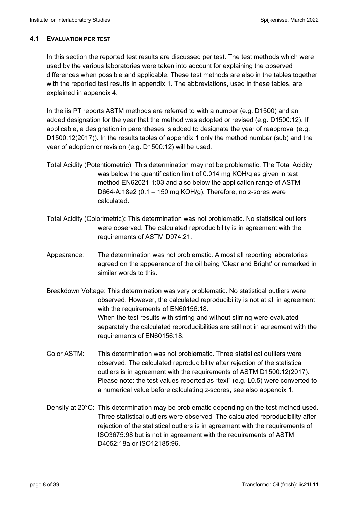#### **4.1 EVALUATION PER TEST**

In this section the reported test results are discussed per test. The test methods which were used by the various laboratories were taken into account for explaining the observed differences when possible and applicable. These test methods are also in the tables together with the reported test results in appendix 1. The abbreviations, used in these tables, are explained in appendix 4.

In the iis PT reports ASTM methods are referred to with a number (e.g. D1500) and an added designation for the year that the method was adopted or revised (e.g. D1500:12). If applicable, a designation in parentheses is added to designate the year of reapproval (e.g. D1500:12(2017)). In the results tables of appendix 1 only the method number (sub) and the year of adoption or revision (e.g. D1500:12) will be used.

- Total Acidity (Potentiometric): This determination may not be problematic. The Total Acidity was below the quantification limit of 0.014 mg KOH/g as given in test method EN62021-1:03 and also below the application range of ASTM D664-A:18e2 (0.1 – 150 mg KOH/g). Therefore, no z-sores were calculated.
- Total Acidity (Colorimetric): This determination was not problematic. No statistical outliers were observed. The calculated reproducibility is in agreement with the requirements of ASTM D974:21.
- Appearance: The determination was not problematic. Almost all reporting laboratories agreed on the appearance of the oil being 'Clear and Bright' or remarked in similar words to this.
- Breakdown Voltage: This determination was very problematic. No statistical outliers were observed. However, the calculated reproducibility is not at all in agreement with the requirements of EN60156:18. When the test results with stirring and without stirring were evaluated separately the calculated reproducibilities are still not in agreement with the requirements of EN60156:18.
- Color ASTM: This determination was not problematic. Three statistical outliers were observed. The calculated reproducibility after rejection of the statistical outliers is in agreement with the requirements of ASTM D1500:12(2017). Please note: the test values reported as "text" (e.g. L0.5) were converted to a numerical value before calculating z-scores, see also appendix 1.
- Density at 20<sup>°</sup>C: This determination may be problematic depending on the test method used. Three statistical outliers were observed. The calculated reproducibility after rejection of the statistical outliers is in agreement with the requirements of ISO3675:98 but is not in agreement with the requirements of ASTM D4052:18a or ISO12185:96.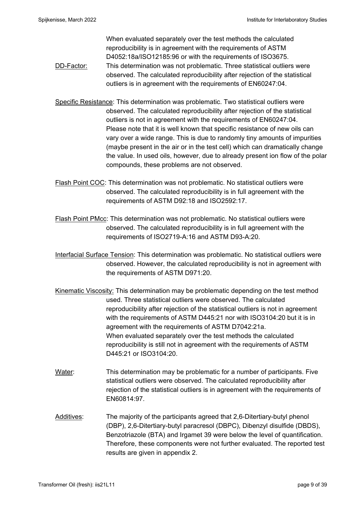When evaluated separately over the test methods the calculated reproducibility is in agreement with the requirements of ASTM D4052:18a/ISO12185:96 or with the requirements of ISO3675. DD-Factor: This determination was not problematic. Three statistical outliers were observed. The calculated reproducibility after rejection of the statistical outliers is in agreement with the requirements of EN60247:04.

- Specific Resistance: This determination was problematic. Two statistical outliers were observed. The calculated reproducibility after rejection of the statistical outliers is not in agreement with the requirements of EN60247:04. Please note that it is well known that specific resistance of new oils can vary over a wide range. This is due to randomly tiny amounts of impurities (maybe present in the air or in the test cell) which can dramatically change the value. In used oils, however, due to already present ion flow of the polar compounds, these problems are not observed.
- Flash Point COC: This determination was not problematic. No statistical outliers were observed. The calculated reproducibility is in full agreement with the requirements of ASTM D92:18 and ISO2592:17.
- Flash Point PMcc: This determination was not problematic. No statistical outliers were observed. The calculated reproducibility is in full agreement with the requirements of ISO2719-A:16 and ASTM D93-A:20.
- Interfacial Surface Tension: This determination was problematic. No statistical outliers were observed. However, the calculated reproducibility is not in agreement with the requirements of ASTM D971:20.
- Kinematic Viscosity: This determination may be problematic depending on the test method used. Three statistical outliers were observed. The calculated reproducibility after rejection of the statistical outliers is not in agreement with the requirements of ASTM D445:21 nor with ISO3104:20 but it is in agreement with the requirements of ASTM D7042:21a. When evaluated separately over the test methods the calculated reproducibility is still not in agreement with the requirements of ASTM D445:21 or ISO3104:20.
- Water: This determination may be problematic for a number of participants. Five statistical outliers were observed. The calculated reproducibility after rejection of the statistical outliers is in agreement with the requirements of EN60814:97.
- Additives: The majority of the participants agreed that 2,6-Ditertiary-butyl phenol (DBP), 2,6-Ditertiary-butyl paracresol (DBPC), Dibenzyl disulfide (DBDS), Benzotriazole (BTA) and Irgamet 39 were below the level of quantification. Therefore, these components were not further evaluated. The reported test results are given in appendix 2.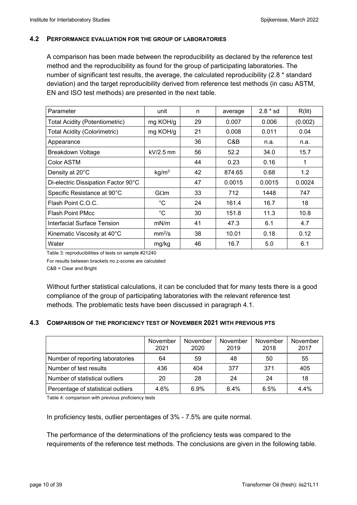#### **4.2 PERFORMANCE EVALUATION FOR THE GROUP OF LABORATORIES**

A comparison has been made between the reproducibility as declared by the reference test method and the reproducibility as found for the group of participating laboratories. The number of significant test results, the average, the calculated reproducibility (2.8 \* standard deviation) and the target reproducibility derived from reference test methods (in casu ASTM, EN and ISO test methods) are presented in the next table.

| Parameter                             | unit               | n  | average | $2.8 * sd$ | R(lit)  |
|---------------------------------------|--------------------|----|---------|------------|---------|
| <b>Total Acidity (Potentiometric)</b> | mg KOH/g           | 29 | 0.007   | 0.006      | (0.002) |
| <b>Total Acidity (Colorimetric)</b>   | mg KOH/g           | 21 | 0.008   | 0.011      | 0.04    |
| Appearance                            |                    | 36 | C&B     | n.a.       | n.a.    |
| <b>Breakdown Voltage</b>              | $kV/2.5$ mm        | 56 | 52.2    | 34.0       | 15.7    |
| Color ASTM                            |                    | 44 | 0.23    | 0.16       | 1       |
| Density at 20°C                       | kg/m <sup>3</sup>  | 42 | 874.65  | 0.68       | 1.2     |
| Di-electric Dissipation Factor 90°C   |                    | 47 | 0.0015  | 0.0015     | 0.0024  |
| Specific Resistance at 90°C           | $G\Omega m$        | 33 | 712     | 1448       | 747     |
| Flash Point C.O.C.                    | °C                 | 24 | 161.4   | 16.7       | 18      |
| <b>Flash Point PMcc</b>               | $^{\circ}C$        | 30 | 151.8   | 11.3       | 10.8    |
| Interfacial Surface Tension           | mN/m               | 41 | 47.3    | 6.1        | 4.7     |
| Kinematic Viscosity at 40°C           | mm <sup>2</sup> /s | 38 | 10.01   | 0.18       | 0.12    |
| Water                                 | mg/kg              | 46 | 16.7    | 5.0        | 6.1     |

Table 3: reproducibilities of tests on sample #21240

For results between brackets no z-scores are calculated

C&B = Clear and Bright

Without further statistical calculations, it can be concluded that for many tests there is a good compliance of the group of participating laboratories with the relevant reference test methods. The problematic tests have been discussed in paragraph 4.1.

### **4.3 COMPARISON OF THE PROFICIENCY TEST OF NOVEMBER 2021 WITH PREVIOUS PTS**

|                                    | November<br>2021 | November<br>2020 | November<br>2019 | November<br>2018 | November<br>2017 |
|------------------------------------|------------------|------------------|------------------|------------------|------------------|
| Number of reporting laboratories   | 64               | 59               | 48               | 50               | 55               |
| Number of test results             | 436              | 404              | 377              | 371              | 405              |
| Number of statistical outliers     | 20               | 28               | 24               | 24               | 18               |
| Percentage of statistical outliers | 4.6%             | 6.9%             | 6.4%             | 6.5%             | 4.4%             |

Table 4: comparison with previous proficiency tests

In proficiency tests, outlier percentages of 3% - 7.5% are quite normal.

The performance of the determinations of the proficiency tests was compared to the requirements of the reference test methods. The conclusions are given in the following table.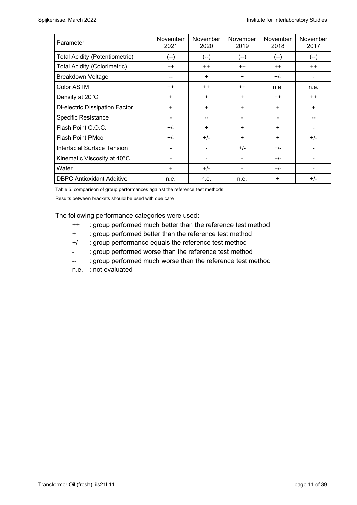| Parameter                             | November<br>2021 | November<br>2020 | November<br>2019 | November<br>2018 | November<br>2017 |
|---------------------------------------|------------------|------------------|------------------|------------------|------------------|
| <b>Total Acidity (Potentiometric)</b> | (--)             | $(-)$            | $(--)$           | (--)             | $(--)$           |
| <b>Total Acidity (Colorimetric)</b>   | $++$             | $++$             | $++$             | $++$             | $++$             |
| <b>Breakdown Voltage</b>              | --               | $\ddot{}$        | $\ddot{}$        | $+/-$            |                  |
| Color ASTM                            | $++$             | $++$             | $++$             | n.e.             | n.e.             |
| Density at 20°C                       | +                | $\ddot{}$        | $\ddot{}$        | $++$             | $++$             |
| Di-electric Dissipation Factor        | $\ddot{}$        | $+$              | $\ddot{}$        | ÷                | $\ddot{}$        |
| <b>Specific Resistance</b>            | ۰                |                  |                  |                  |                  |
| Flash Point C.O.C.                    | $+/-$            | $\ddot{}$        | $\ddot{}$        | $\ddot{}$        |                  |
| <b>Flash Point PMcc</b>               | $+/-$            | $+/-$            | $\ddot{}$        | $+$              | $+/-$            |
| Interfacial Surface Tension           |                  |                  | $+/-$            | $+/-$            |                  |
| Kinematic Viscosity at 40°C           | -                |                  |                  | $+/-$            |                  |
| Water                                 | +                | $+/-$            |                  | $+/-$            |                  |
| <b>DBPC Antioxidant Additive</b>      | n.e.             | n.e.             | n.e.             | $\ddot{}$        | $+/-$            |

Table 5. comparison of group performances against the reference test methods

Results between brackets should be used with due care

The following performance categories were used:

- ++ : group performed much better than the reference test method
- + : group performed better than the reference test method
- +/- : group performance equals the reference test method
- : group performed worse than the reference test method
- -- : group performed much worse than the reference test method
- n.e. : not evaluated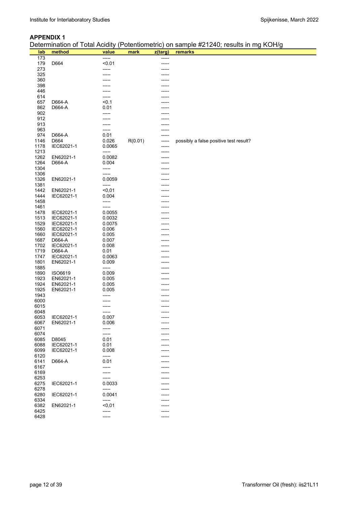#### **APPENDIX 1**

| Determination of Total Acidity (Potentiometric) on sample #21240; results in mg KOH/g |  |  |
|---------------------------------------------------------------------------------------|--|--|
|                                                                                       |  |  |

|      |            |        |         |         | Determination of Total Acidity (Fotentioniethc) on sample #2.1240, results in my KOH/g |
|------|------------|--------|---------|---------|----------------------------------------------------------------------------------------|
| lab  | method     | value  | mark    | z(targ) | remarks                                                                                |
| 173  |            | -----  |         | -----   |                                                                                        |
| 179  | D664       | < 0.01 |         | -----   |                                                                                        |
| 273  |            | -----  |         |         |                                                                                        |
| 325  |            |        |         |         |                                                                                        |
| 360  |            |        |         |         |                                                                                        |
|      |            |        |         |         |                                                                                        |
| 398  |            |        |         |         |                                                                                        |
| 446  |            |        |         |         |                                                                                        |
| 614  |            |        |         |         |                                                                                        |
| 657  | D664-A     | < 0.1  |         |         |                                                                                        |
| 862  | D664-A     | 0.01   |         |         |                                                                                        |
| 902  |            |        |         |         |                                                                                        |
| 912  |            |        |         |         |                                                                                        |
| 913  |            |        |         |         |                                                                                        |
| 963  |            |        |         |         |                                                                                        |
|      |            | -----  |         |         |                                                                                        |
| 974  | D664-A     | 0.01   |         |         |                                                                                        |
| 1146 | D664       | 0.026  | R(0.01) | -----   | possibly a false positive test result?                                                 |
| 1178 | IEC62021-1 | 0.0065 |         | -----   |                                                                                        |
| 1213 |            | -----  |         |         |                                                                                        |
| 1262 | EN62021-1  | 0.0082 |         |         |                                                                                        |
| 1264 | D664-A     | 0.004  |         |         |                                                                                        |
| 1304 |            | -----  |         |         |                                                                                        |
| 1306 |            | -----  |         |         |                                                                                        |
|      | EN62021-1  | 0.0059 |         |         |                                                                                        |
| 1326 |            |        |         |         |                                                                                        |
| 1381 |            | -----  |         |         |                                                                                        |
| 1442 | EN62021-1  | $0,01$ |         | -----   |                                                                                        |
| 1444 | IEC62021-1 | 0.004  |         |         |                                                                                        |
| 1458 |            | -----  |         | -----   |                                                                                        |
| 1461 |            | -----  |         |         |                                                                                        |
| 1478 | IEC62021-1 | 0.0055 |         |         |                                                                                        |
| 1513 | IEC62021-1 | 0.0032 |         |         |                                                                                        |
| 1529 | IEC62021-1 | 0.0075 |         |         |                                                                                        |
|      |            |        |         |         |                                                                                        |
| 1560 | IEC62021-1 | 0.006  |         |         |                                                                                        |
| 1660 | IEC62021-1 | 0.005  |         |         |                                                                                        |
| 1687 | D664-A     | 0.007  |         |         |                                                                                        |
| 1702 | IEC62021-1 | 0.008  |         |         |                                                                                        |
| 1719 | D664-A     | 0.01   |         |         |                                                                                        |
| 1747 | IEC62021-1 | 0.0063 |         |         |                                                                                        |
| 1801 | EN62021-1  | 0.009  |         |         |                                                                                        |
| 1885 |            | -----  |         | -----   |                                                                                        |
|      |            | 0.009  |         |         |                                                                                        |
| 1890 | ISO6619    |        |         | -----   |                                                                                        |
| 1923 | EN62021-1  | 0.005  |         |         |                                                                                        |
| 1924 | EN62021-1  | 0.005  |         |         |                                                                                        |
| 1925 | EN62021-1  | 0.005  |         |         |                                                                                        |
| 1943 |            |        |         |         |                                                                                        |
| 6000 |            |        |         |         |                                                                                        |
| 6015 |            |        |         |         |                                                                                        |
| 6048 |            |        |         |         |                                                                                        |
| 6053 | IEC62021-1 | 0.007  |         |         |                                                                                        |
| 6067 | EN62021-1  | 0.006  |         |         |                                                                                        |
|      |            |        |         |         |                                                                                        |
| 6071 |            | -----  |         |         |                                                                                        |
| 6074 |            | -----  |         |         |                                                                                        |
| 6085 | D8045      | 0.01   |         |         |                                                                                        |
| 6088 | IEC62021-1 | 0.01   |         |         |                                                                                        |
| 6099 | IEC62021-1 | 0.008  |         |         |                                                                                        |
| 6120 |            | -----  |         | ----    |                                                                                        |
| 6141 | D664-A     | 0.01   |         |         |                                                                                        |
| 6167 |            | -----  |         |         |                                                                                        |
| 6169 |            | -----  |         |         |                                                                                        |
| 6253 |            |        |         |         |                                                                                        |
|      |            | -----  |         |         |                                                                                        |
| 6275 | IEC62021-1 | 0.0033 |         |         |                                                                                        |
| 6278 |            | -----  |         |         |                                                                                        |
| 6280 | IEC62021-1 | 0.0041 |         |         |                                                                                        |
| 6334 |            | -----  |         |         |                                                                                        |
| 6382 | EN62021-1  | $0,01$ |         |         |                                                                                        |
| 6425 |            | -----  |         |         |                                                                                        |
| 6428 |            | -----  |         |         |                                                                                        |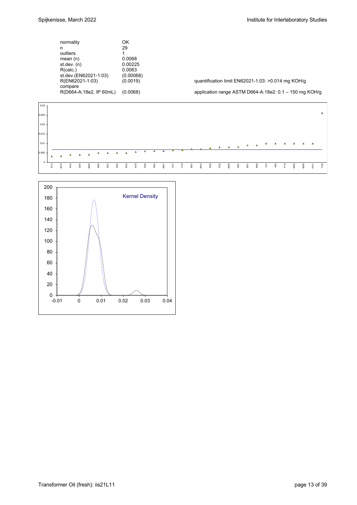| normality                  | ΟK        |                                                          |
|----------------------------|-----------|----------------------------------------------------------|
| n                          | 29        |                                                          |
| outliers                   |           |                                                          |
| mean $(n)$                 | 0.0068    |                                                          |
| st.dev. (n)                | 0.00225   |                                                          |
| R(calc.)                   | 0.0063    |                                                          |
| st.dev.(EN62021-1:03)      | (0.00068) |                                                          |
| R(EN62021-1:03)<br>compare | (0.0019)  | quantification limit EN62021-1:03: >0.014 mg KOH/g       |
| R(D664-A:18e2, IP 60mL)    | (0.0068)  | application range ASTM D664-A:18e2: $0.1 - 150$ mg KOH/g |
|                            |           |                                                          |



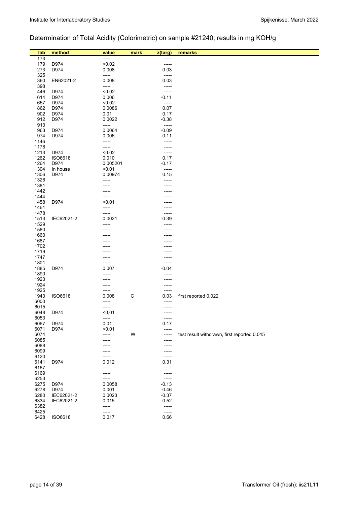# Determination of Total Acidity (Colorimetric) on sample #21240; results in mg KOH/g

| lab          | method         | value             | mark        | z(targ)          | remarks                                     |
|--------------|----------------|-------------------|-------------|------------------|---------------------------------------------|
| 173          |                | -----             |             | -----            |                                             |
| 179          | D974           | < 0.02            |             | -----            |                                             |
| 273          | D974           | 0.008             |             | 0.03             |                                             |
| 325          |                | -----             |             | -----            |                                             |
| 360          | EN62021-2      | 0.008             |             | 0.03             |                                             |
| 398          |                | -----             |             | -----            |                                             |
| 446          | D974           | < 0.02            |             |                  |                                             |
| 614          | D974           | 0.006             |             | -----<br>$-0.11$ |                                             |
|              | D974           | < 0.02            |             | -----            |                                             |
| 657<br>862   | D974           | 0.0086            |             | 0.07             |                                             |
| 902          | D974           |                   |             | 0.17             |                                             |
|              |                | 0.01              |             |                  |                                             |
| 912<br>913   | D974           | 0.0022<br>-----   |             | $-0.38$<br>----- |                                             |
| 963          | D974           | 0.0064            |             | $-0.09$          |                                             |
| 974          |                |                   |             |                  |                                             |
| 1146         | D974           | 0.006             |             | $-0.11$          |                                             |
|              |                | -----<br>-----    |             | -----            |                                             |
| 1178         | D974           | < 0.02            |             | -----            |                                             |
| 1213         | <b>ISO6618</b> |                   |             | -----<br>0.17    |                                             |
| 1262         |                | 0.010<br>0.005201 |             |                  |                                             |
| 1264         | D974           | < 0.01            |             | $-0.17$          |                                             |
| 1304         | In house       |                   |             | -----            |                                             |
| 1306         | D974           | 0.00974           |             | 0.15             |                                             |
| 1326         |                | -----             |             | -----            |                                             |
| 1381         |                | -----             |             |                  |                                             |
| 1442         |                |                   |             |                  |                                             |
| 1444<br>1458 | D974           | -----<br>< 0.01   |             |                  |                                             |
| 1461         |                | -----             |             | -----            |                                             |
| 1478         |                | -----             |             | -----            |                                             |
| 1513         | IEC62021-2     | 0.0021            |             | $-0.39$          |                                             |
| 1529         |                | -----             |             | -----            |                                             |
| 1560         |                |                   |             |                  |                                             |
| 1660         |                |                   |             |                  |                                             |
| 1687         |                |                   |             |                  |                                             |
| 1702         |                |                   |             |                  |                                             |
| 1719         |                |                   |             |                  |                                             |
| 1747         |                |                   |             | -----            |                                             |
| 1801         |                | -----             |             | -----            |                                             |
| 1885         | D974           | 0.007             |             | -0.04            |                                             |
| 1890         |                |                   |             | -----            |                                             |
| 1923         |                |                   |             | -----            |                                             |
| 1924         |                |                   |             | -----            |                                             |
| 1925         |                | -----             |             | -----            |                                             |
| 1943         | ISO6618        | 0.008             | $\mathsf C$ | 0.03             | first reported 0.022                        |
| 6000         |                | -----             |             | -----            |                                             |
| 6015         |                | -----             |             | -----            |                                             |
| 6048         | D974           | $0,01$            |             | -----            |                                             |
| 6053         |                | -----             |             | -----            |                                             |
| 6067         | D974           | 0.01              |             | 0.17             |                                             |
| 6071         | D974           | < 0.01            |             | -----            |                                             |
| 6074         |                | -----             | W           | -----            | test result withdrawn, first reported 0.045 |
| 6085<br>6088 |                |                   |             |                  |                                             |
| 6099         |                |                   |             | -----            |                                             |
| 6120         |                | -----             |             | -----            |                                             |
| 6141         | D974           | 0.012             |             | -----<br>0.31    |                                             |
| 6167         |                | -----             |             | -----            |                                             |
| 6169         |                | -----             |             | -----            |                                             |
| 6253         |                | -----             |             | -----            |                                             |
| 6275         | D974           | 0.0058            |             | $-0.13$          |                                             |
| 6278         | D974           | 0.001             |             | $-0.46$          |                                             |
| 6280         | IEC62021-2     | 0.0023            |             | $-0.37$          |                                             |
| 6334         | IEC62021-2     | 0.015             |             | 0.52             |                                             |
| 6382         |                | -----             |             | -----            |                                             |
| 6425         |                | -----             |             | -----            |                                             |
| 6428         | ISO6618        | 0.017             |             | 0.66             |                                             |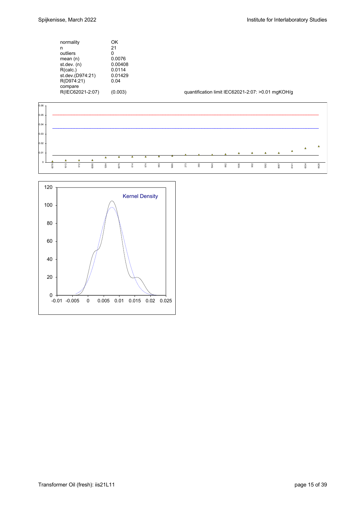| normality                                                     | ΟK                         |
|---------------------------------------------------------------|----------------------------|
| n                                                             | 21                         |
| outliers                                                      | n                          |
| mean(n)                                                       | 0.0076                     |
| st.dev. (n)                                                   | 0.00408                    |
| R(calc.)                                                      | 0.0114                     |
| st.dev.(D974:21)<br>R(D974:21)<br>compare<br>R(IEC62021-2:07) | 0.01429<br>0.04<br>(0.003) |

quantification limit IEC62021-2:07: >0.01 mgKOH/g



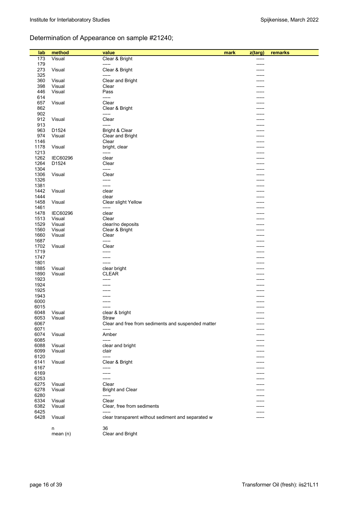# Determination of Appearance on sample #21240;

| lab          | method          | value                                              | mark<br>z(targ) | remarks |
|--------------|-----------------|----------------------------------------------------|-----------------|---------|
| 173          | Visual          | Clear & Bright                                     |                 |         |
| 179          |                 | -----                                              |                 |         |
| 273          | Visual          | Clear & Bright                                     |                 |         |
| 325          |                 | -----                                              |                 |         |
| 360          | Visual          | Clear and Bright                                   |                 |         |
| 398          | Visual          | Clear                                              |                 |         |
| 446          | Visual          | Pass                                               |                 |         |
| 614          |                 | -----                                              |                 |         |
| 657          | Visual          | Clear                                              |                 |         |
| 862          |                 | Clear & Bright                                     |                 |         |
| 902          |                 | -----                                              |                 |         |
| 912          | Visual          | Clear                                              |                 |         |
| 913          |                 | -----                                              |                 |         |
| 963          | D1524           | Bright & Clear                                     | -----           |         |
| 974          | Visual          | Clear and Bright                                   |                 |         |
| 1146         |                 | Clear                                              |                 |         |
| 1178         | Visual          | bright, clear                                      |                 |         |
| 1213         | <b>IEC60296</b> | -----<br>clear                                     | ----            |         |
| 1262<br>1264 |                 |                                                    |                 |         |
| 1304         | D1524           | Clear<br>-----                                     |                 |         |
| 1306         | Visual          | Clear                                              | -----           |         |
| 1326         |                 | -----                                              |                 |         |
| 1381         |                 | -----                                              |                 |         |
| 1442         | Visual          | clear                                              |                 |         |
| 1444         |                 | clear                                              |                 |         |
| 1458         | Visual          | Clear slight Yellow                                |                 |         |
| 1461         |                 | -----                                              |                 |         |
| 1478         | <b>IEC60296</b> | clear                                              |                 |         |
| 1513         | Visual          | Clear                                              |                 |         |
| 1529         | Visual          | clear/no deposits                                  |                 |         |
| 1560         | Visual          | Clear & Bright                                     |                 |         |
| 1660         | Visual          | Clear                                              |                 |         |
| 1687         |                 | -----                                              |                 |         |
| 1702         | Visual          | Clear                                              |                 |         |
| 1719         |                 | -----                                              |                 |         |
| 1747         |                 | -----                                              |                 |         |
| 1801         |                 | -----                                              |                 |         |
| 1885         | Visual          | clear bright                                       |                 |         |
| 1890         | Visual          | <b>CLEAR</b>                                       |                 |         |
| 1923         |                 | -----                                              |                 |         |
| 1924         |                 | -----                                              |                 |         |
| 1925<br>1943 |                 |                                                    |                 |         |
| 6000         |                 |                                                    |                 |         |
| 6015         |                 |                                                    |                 |         |
| 6048         | Visual          | clear & bright                                     | -----           |         |
| 6053         | Visual          | Straw                                              | -----           |         |
| 6067         |                 | Clear and free from sediments and suspended matter | -----           |         |
| 6071         |                 | -----                                              |                 |         |
| 6074         | Visual          | Amber                                              |                 |         |
| 6085         |                 | -----                                              |                 |         |
| 6088         | Visual          | clear and bright                                   |                 |         |
| 6099         | Visual          | clair                                              |                 |         |
| 6120         |                 | -----                                              |                 |         |
| 6141         | Visual          | Clear & Bright                                     |                 |         |
| 6167         |                 | -----                                              |                 |         |
| 6169         |                 | -----                                              |                 |         |
| 6253         |                 | -----                                              |                 |         |
| 6275         | Visual          | Clear                                              |                 |         |
| 6278         | Visual          | <b>Bright and Clear</b>                            |                 |         |
| 6280         |                 | -----                                              |                 |         |
| 6334         | Visual          | Clear                                              |                 |         |
| 6382         | Visual          | Clear, free from sediments<br>-----                |                 |         |
| 6425         |                 |                                                    |                 |         |
| 6428         | Visual          | clear transparent without sediment and separated w | -----           |         |
|              |                 | 36                                                 |                 |         |
|              | n<br>mean(n)    | Clear and Bright                                   |                 |         |
|              |                 |                                                    |                 |         |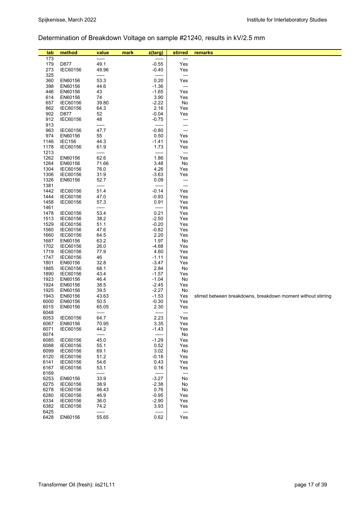# Determination of Breakdown Voltage on sample #21240, results in kV/2.5 mm

| lab          | method               | value         | mark | z(targ)            | stirred                  | remarks                                                       |
|--------------|----------------------|---------------|------|--------------------|--------------------------|---------------------------------------------------------------|
| 173          |                      | -----         |      | -----              | ---                      |                                                               |
| 179          | D877                 | 49.1          |      | $-0.55$            | Yes                      |                                                               |
| 273          | IEC60156             | 49.96         |      | -0.40              | Yes                      |                                                               |
| 325          |                      | -----         |      | -----              | $\overline{\phantom{a}}$ |                                                               |
| 360<br>398   | EN60156<br>EN60156   | 53.3<br>44.6  |      | 0.20<br>$-1.36$    | Yes<br>---               |                                                               |
| 446          | EN60156              | 43            |      | $-1.65$            | Yes                      |                                                               |
| 614          | EN60156              | 74            |      | 3.90               | Yes                      |                                                               |
| 657          | IEC60156             | 39.80         |      | $-2.22$            | No                       |                                                               |
| 862          | IEC60156             | 64.3          |      | 2.16               | Yes                      |                                                               |
| 902          | D877                 | 52            |      | $-0.04$            | Yes                      |                                                               |
| 912<br>913   | IEC60156             | 48<br>-----   |      | $-0.75$<br>-----   | ---<br>---               |                                                               |
| 963          | IEC60156             | 47.7          |      | $-0.80$            | ---                      |                                                               |
| 974          | EN60156              | 55            |      | 0.50               | Yes                      |                                                               |
| 1146         | <b>IEC156</b>        | 44.3          |      | $-1.41$            | Yes                      |                                                               |
| 1178         | IEC60156             | 61.9          |      | 1.73               | Yes                      |                                                               |
| 1213         |                      | -----         |      | -----              | $\overline{\phantom{a}}$ |                                                               |
| 1262<br>1264 | EN60156              | 62.6          |      | 1.86<br>3.48       | Yes                      |                                                               |
| 1304         | EN60156<br>IEC60156  | 71.66<br>76.0 |      | 4.26               | No<br>Yes                |                                                               |
| 1306         | IEC60156             | 31.9          |      | $-3.63$            | Yes                      |                                                               |
| 1326         | EN60156              | 52.7          |      | 0.09               | ---                      |                                                               |
| 1381         |                      | -----         |      | -----              | ---                      |                                                               |
| 1442         | IEC60156             | 51.4          |      | $-0.14$            | Yes                      |                                                               |
| 1444         | IEC60156             | 47.0          |      | $-0.93$            | Yes                      |                                                               |
| 1458<br>1461 | IEC60156             | 57.3<br>----- |      | 0.91<br>-----      | Yes<br>Yes               |                                                               |
| 1478         | IEC60156             | 53.4          |      | 0.21               | Yes                      |                                                               |
| 1513         | IEC60156             | 38.2          |      | $-2.50$            | Yes                      |                                                               |
| 1529         | IEC60156             | 51.1          |      | $-0.20$            | Yes                      |                                                               |
| 1560         | IEC60156             | 47.6          |      | $-0.82$            | Yes                      |                                                               |
| 1660         | IEC60156             | 64.5          |      | 2.20               | Yes                      |                                                               |
| 1687<br>1702 | EN60156<br>IEC60156  | 63.2<br>26.0  |      | 1.97<br>-4.68      | No<br>Yes                |                                                               |
| 1719         | IEC60156             | 77.9          |      | 4.60               | Yes                      |                                                               |
| 1747         | IEC60156             | 46            |      | $-1.11$            | Yes                      |                                                               |
| 1801         | EN60156              | 32.8          |      | $-3.47$            | Yes                      |                                                               |
| 1885         | IEC60156             | 68.1          |      | 2.84               | No                       |                                                               |
| 1890         | IEC60156             | 43.4          |      | $-1.57$            | Yes                      |                                                               |
| 1923<br>1924 | EN60156<br>EN60156   | 46.4<br>38.5  |      | $-1.04$<br>$-2.45$ | No<br>Yes                |                                                               |
| 1925         | EN60156              | 39.5          |      | $-2.27$            | No                       |                                                               |
| 1943         | EN60156              | 43.63         |      | $-1.53$            | Yes                      | stirred between breakdowns, breakdown moment without stirring |
| 6000         | EN60156              | 50.5          |      | $-0.30$            | Yes                      |                                                               |
| 6015         | EN60156              | 65.05         |      | 2.30               | Yes                      |                                                               |
| 6048         |                      |               |      |                    |                          |                                                               |
| 6053<br>6067 | IEC60156<br>EN60156  | 64.7<br>70.95 |      | 2.23<br>3.35       | Yes<br>Yes               |                                                               |
| 6071         | IEC60156             | 44.2          |      | -1.43              | Yes                      |                                                               |
| 6074         |                      | -----         |      | -----              | No                       |                                                               |
| 6085         | IEC60156             | 45.0          |      | $-1.29$            | Yes                      |                                                               |
| 6088         | IEC60156             | 55.1          |      | 0.52               | Yes                      |                                                               |
| 6099         | IEC60156             | 69.1          |      | 3.02               | No                       |                                                               |
| 6120<br>6141 | IEC60156<br>IEC60156 | 51.2<br>54.6  |      | $-0.18$<br>0.43    | Yes<br>Yes               |                                                               |
| 6167         | IEC60156             | 53.1          |      | 0.16               | Yes                      |                                                               |
| 6169         |                      | -----         |      | $-----$            | ---                      |                                                               |
| 6253         | EN60156              | 33.9          |      | $-3.27$            | No                       |                                                               |
| 6275         | IEC60156             | 38.9          |      | $-2.38$            | No                       |                                                               |
| 6278<br>6280 | IEC60156<br>IEC60156 | 56.43<br>46.9 |      | 0.76               | No                       |                                                               |
| 6334         | IEC60156             | 36.0          |      | $-0.95$<br>$-2.90$ | Yes<br>Yes               |                                                               |
| 6382         | IEC60156             | 74.2          |      | 3.93               | Yes                      |                                                               |
| 6425         |                      | -----         |      | -----              | ---                      |                                                               |
| 6428         | EN60156              | 55.65         |      | 0.62               | Yes                      |                                                               |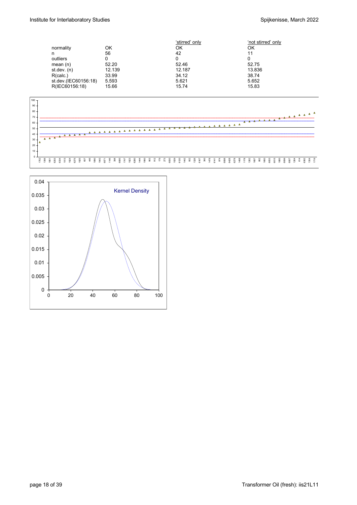|                      |        | 'stirred' only | 'not stirred' only |
|----------------------|--------|----------------|--------------------|
| normality            | ΟK     | ΟK             | ΟK                 |
| n                    | 56     | 42             | 11                 |
| outliers             | 0      | 0              |                    |
| mean $(n)$           | 52.20  | 52.46          | 52.75              |
| st.dev. (n)          | 12.139 | 12.187         | 13.836             |
| R(calc.)             | 33.99  | 34.12          | 38.74              |
| st.dev.(IEC60156:18) | 5.593  | 5.621          | 5.652              |
| R(IEC60156:18)       | 15.66  | 15.74          | 15.83              |
|                      |        |                |                    |



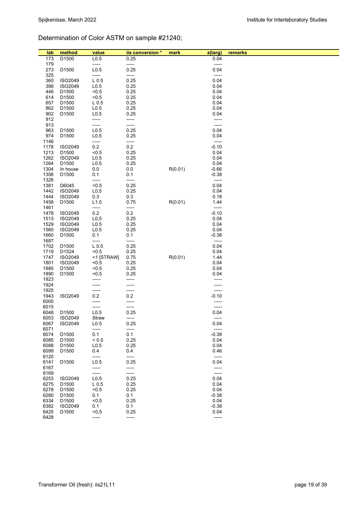# Determination of Color ASTM on sample #21240;

| lab          | method                       | value                                | iis conversion * | mark    | z(targ)            | remarks |
|--------------|------------------------------|--------------------------------------|------------------|---------|--------------------|---------|
| 173          | D <sub>1500</sub>            | L <sub>0.5</sub>                     | 0.25             |         | 0.04               |         |
| 179          |                              | -----                                | -----            |         | -----              |         |
| 273          | D1500                        | L <sub>0.5</sub>                     | 0.25             |         | 0.04               |         |
| 325          |                              | -----                                | -----            |         | -----              |         |
| 360          | ISO2049                      | $L_{0.5}$                            | 0.25             |         | 0.04               |         |
| 398          | ISO2049                      | L <sub>0.5</sub>                     | 0.25             |         | 0.04               |         |
| 446          | D1500                        | < 0.5                                | 0.25             |         | 0.04               |         |
| 614          | D1500                        | < 0.5                                | 0.25             |         | 0.04               |         |
| 657<br>862   | D1500<br>D1500               | L <sub>0.5</sub><br>L <sub>0.5</sub> | 0.25<br>0.25     |         | 0.04<br>0.04       |         |
| 902          | D1500                        | L <sub>0.5</sub>                     | 0.25             |         | 0.04               |         |
| 912          |                              | -----                                | -----            |         | -----              |         |
| 913          |                              | -----                                | -----            |         | -----              |         |
| 963          | D1500                        | L <sub>0.5</sub>                     | 0.25             |         | 0.04               |         |
| 974          | D1500                        | L <sub>0.5</sub>                     | 0.25             |         | 0.04               |         |
| 1146         |                              | -----                                | -----            |         | -----              |         |
| 1178         | ISO2049                      | 0.2                                  | 0.2              |         | $-0.10$            |         |
| 1213         | D1500                        | < 0.5                                | 0.25             |         | 0.04               |         |
| 1262         | ISO2049                      | L <sub>0.5</sub>                     | 0.25             |         | 0.04               |         |
| 1264         | D1500                        | L <sub>0.5</sub>                     | 0.25             |         | 0.04               |         |
| 1304<br>1306 | In house<br>D1500            | 0.0<br>0.1                           | 0.0<br>0.1       | R(0.01) | $-0.66$<br>$-0.38$ |         |
| 1326         |                              | -----                                | -----            |         | -----              |         |
| 1381         | D6045                        | < 0.5                                | 0.25             |         | 0.04               |         |
| 1442         | ISO2049                      | L <sub>0,5</sub>                     | 0.25             |         | 0.04               |         |
| 1444         | ISO2049                      | 0.3                                  | 0.3              |         | 0.18               |         |
| 1458         | D1500                        | L1.0                                 | 0.75             | R(0.01) | 1.44               |         |
| 1461         |                              | -----                                | -----            |         | -----              |         |
| 1478         | ISO2049                      | 0.2                                  | $0.2\,$          |         | $-0.10$            |         |
| 1513         | ISO2049                      | L <sub>0,5</sub>                     | 0.25             |         | 0.04               |         |
| 1529         | ISO2049                      | L <sub>0.5</sub>                     | 0.25             |         | 0.04               |         |
| 1560<br>1660 | ISO2049<br>D1500             | L <sub>0.5</sub><br>0.1              | 0.25<br>0.1      |         | 0.04<br>$-0.38$    |         |
| 1687         |                              | -----                                | -----            |         | -----              |         |
| 1702         | D1500                        | L <sub>0.5</sub>                     | 0.25             |         | 0.04               |         |
| 1719         | D1524                        | < 0.5                                | 0.25             |         | 0.04               |         |
| 1747         | ISO2049                      | <1 [STRAW]                           | 0.75             | R(0.01) | 1.44               |         |
| 1801         | ISO2049                      | < 0.5                                | 0.25             |         | 0.04               |         |
| 1885         | D1500                        | < 0.5                                | 0.25             |         | 0.04               |         |
| 1890         | D1500                        | $0,5$                                | 0.25             |         | 0.04               |         |
| 1923         |                              | -----                                | -----            |         |                    |         |
| 1924<br>1925 |                              | -----<br>-----                       | -----<br>-----   |         | -----<br>-----     |         |
| 1943         | ISO2049                      | 0.2                                  | 0.2              |         | $-0.10$            |         |
| 6000         |                              | -----                                | -----            |         |                    |         |
| 6015         |                              | -----                                | -----            |         | -----              |         |
| 6048         | D1500                        | L <sub>0.5</sub>                     | 0.25             |         | 0.04               |         |
| 6053         | ISO2049                      | Straw                                | -----            |         |                    |         |
| 6067         | ISO2049                      | L <sub>0.5</sub>                     | 0.25             |         | 0.04               |         |
| 6071         |                              | -----                                | -----            |         | -----              |         |
| 6074         | D1500                        | 0.1                                  | 0.1              |         | $-0.38$            |         |
| 6085<br>6088 | D1500<br>D1500               | ${}_{0.5}$<br>L <sub>0.5</sub>       | 0.25<br>0.25     |         | 0.04<br>0.04       |         |
| 6099         | D1500                        | 0.4                                  | 0.4              |         | 0.46               |         |
| 6120         |                              | -----                                | -----            |         | -----              |         |
| 6141         | D1500                        | L <sub>0.5</sub>                     | 0.25             |         | 0.04               |         |
| 6167         |                              | -----                                | -----            |         | -----              |         |
| 6169         |                              | -----                                | -----            |         | -----              |         |
| 6253         | ISO2049                      | L <sub>0.5</sub>                     | 0.25             |         | 0.04               |         |
| 6275         | D1500                        | L <sub>0.5</sub>                     | 0.25             |         | 0.04               |         |
| 6278         | D1500                        | < 0.5                                | 0.25             |         | 0.04               |         |
| 6280         | D <sub>1500</sub>            | 0.1                                  | 0.1              |         | $-0.38$            |         |
| 6334<br>6382 | D <sub>1500</sub><br>ISO2049 | $5 - 5$<br>0.1                       | 0.25<br>0.1      |         | 0.04<br>$-0.38$    |         |
| 6425         | D1500                        | $0,5$                                | 0.25             |         | 0.04               |         |
| 6428         |                              | -----                                | -----            |         | -----              |         |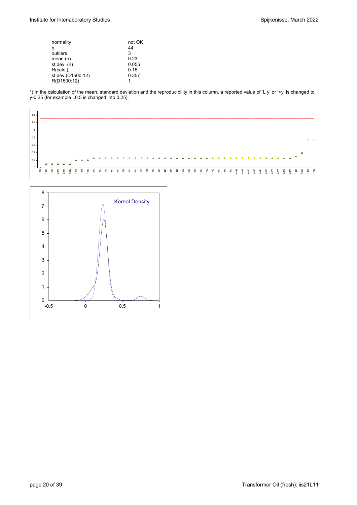| normality         | not OK |
|-------------------|--------|
| n                 | 44     |
| outliers          | 3      |
| mean $(n)$        | 0.23   |
| st.dev. (n)       | 0.056  |
| R(calc.)          | 0.16   |
| st.dev.(D1500:12) | 0.357  |
| R(D1500:12)       |        |
|                   |        |

\*) In the calculation of the mean, standard deviation and the reproducibility in this column, a reported value of 'L y' or '<y' is changed to y-0.25 (for example L0.5 is changed into 0.25).



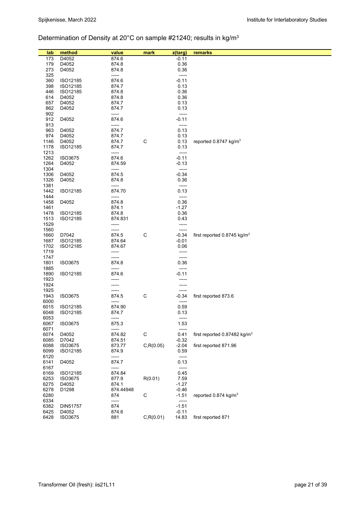# Determination of Density at 20°C on sample #21240; results in kg/m3

| lab          | method              | value           | mark        | z(targ)         | remarks                                   |
|--------------|---------------------|-----------------|-------------|-----------------|-------------------------------------------|
| 173          | D4052               | 874.6           |             | $-0.11$         |                                           |
| 179          | D4052               | 874.8           |             | 0.36            |                                           |
| 273          | D4052               | 874.8           |             | 0.36            |                                           |
| 325          |                     | -----           |             | -----           |                                           |
| 360          | ISO12185            | 874.6           |             | $-0.11$         |                                           |
| 398          | ISO12185            | 874.7           |             | 0.13            |                                           |
| 446          | ISO12185            | 874.8           |             | 0.36            |                                           |
| 614          | D4052               | 874.8           |             | 0.36            |                                           |
| 657          | D4052               | 874.7           |             | 0.13            |                                           |
| 862          | D4052               | 874.7           |             | 0.13            |                                           |
| 902          |                     | -----           |             | -----           |                                           |
| 912          | D4052               | 874.6           |             | $-0.11$         |                                           |
| 913          |                     | -----           |             | -----           |                                           |
| 963          | D4052               | 874.7           |             | 0.13            |                                           |
| 974          | D4052               | 874.7           |             | 0.13            |                                           |
| 1146         | D4052               | 874.7           | $\mathsf C$ | 0.13            | reported 0.8747 kg/m <sup>3</sup>         |
| 1178         | ISO12185            | 874.7           |             | 0.13            |                                           |
| 1213         |                     | -----           |             | -----           |                                           |
| 1262         | ISO3675             | 874.6           |             | $-0.11$         |                                           |
| 1264         | D4052               | 874.59          |             | $-0.13$         |                                           |
| 1304         |                     | -----           |             | -----           |                                           |
| 1306         | D4052               | 874.5           |             | $-0.34$         |                                           |
| 1326         | D4052               | 874.8           |             | 0.36            |                                           |
| 1381         |                     | -----           |             | -----           |                                           |
| 1442         | ISO12185            | 874.70          |             | 0.13            |                                           |
| 1444         |                     | -----           |             | -----           |                                           |
| 1458         | D4052               | 874.8           |             | 0.36            |                                           |
| 1461         |                     | 874.1           |             | $-1.27$         |                                           |
| 1478<br>1513 | ISO12185            | 874.8           |             | 0.36            |                                           |
| 1529         | ISO12185            | 874.831         |             | 0.43<br>-----   |                                           |
| 1560         |                     | -----<br>-----  |             | -----           |                                           |
| 1660         | D7042               | 874.5           | $\mathsf C$ | $-0.34$         | first reported $0.8745$ kg/m <sup>3</sup> |
| 1687         | ISO12185            | 874.64          |             | $-0.01$         |                                           |
| 1702         | ISO12185            | 874.67          |             | 0.06            |                                           |
| 1719         |                     | -----           |             |                 |                                           |
| 1747         |                     | -----           |             | -----           |                                           |
| 1801         | ISO3675             | 874.8           |             | 0.36            |                                           |
| 1885         |                     | -----           |             | -----           |                                           |
| 1890         | ISO12185            | 874.6           |             | $-0.11$         |                                           |
| 1923         |                     |                 |             |                 |                                           |
| 1924         |                     |                 |             |                 |                                           |
| 1925         |                     |                 |             |                 |                                           |
| 1943         | ISO3675             | 874.5           | $\mathsf C$ | $-0.34$         | first reported 873.6                      |
| 6000         |                     | -----           |             | -----           |                                           |
| 6015         | ISO12185            | 874.90          |             | 0.59            |                                           |
| 6048         | ISO12185            | 874.7           |             | 0.13            |                                           |
| 6053         |                     | -----           |             | -----           |                                           |
| 6067         | ISO3675             | 875.3           |             | 1.53            |                                           |
| 6071         |                     | -----<br>874.82 |             | -----           | first reported 0.87482 kg/m <sup>3</sup>  |
| 6074         | D4052               |                 | C           | 0.41            |                                           |
| 6085         | D7042               | 874.51          |             | $-0.32$         | first reported 871.96                     |
| 6088<br>6099 | ISO3675<br>ISO12185 | 873.77<br>874.9 | C, R(0.05)  | $-2.04$<br>0.59 |                                           |
| 6120         |                     | -----           |             | -----           |                                           |
| 6141         | D4052               | 874.7           |             | 0.13            |                                           |
| 6167         |                     | -----           |             | -----           |                                           |
| 6169         | ISO12185            | 874.84          |             | 0.45            |                                           |
| 6253         | <b>ISO3675</b>      | 877.9           | R(0.01)     | 7.59            |                                           |
| 6275         | D4052               | 874.1           |             | $-1.27$         |                                           |
| 6278         | D1298               | 874.44948       |             | $-0.46$         |                                           |
| 6280         |                     | 874             | C           | $-1.51$         | reported $0.874$ kg/m <sup>3</sup>        |
| 6334         |                     | -----           |             | -----           |                                           |
| 6382         | DIN51757            | 874             |             | $-1.51$         |                                           |
| 6425         | D4052               | 874.6           |             | $-0.11$         |                                           |
| 6428         | ISO3675             | 881             | C, R(0.01)  | 14.83           | first reported 871                        |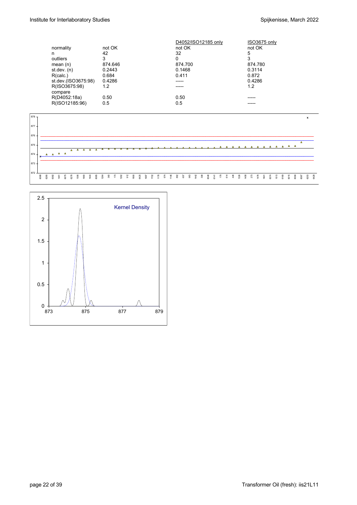|                     |         | D4052/ISO12185 only | ISO3675 only |
|---------------------|---------|---------------------|--------------|
| normality           | not OK  | not OK              | not OK       |
| n                   | 42      | 32                  | 5            |
| outliers            | 3       | 0                   | 3            |
| mean $(n)$          | 874.646 | 874.700             | 874.780      |
| st.dev. $(n)$       | 0.2443  | 0.1468              | 0.3114       |
| R(calc.)            | 0.684   | 0.411               | 0.872        |
| st.dev.(ISO3675:98) | 0.4286  |                     | 0.4286       |
| R(ISO3675:98)       | 1.2     |                     | 1.2          |
| compare             |         |                     |              |
| R(D4052:18a)        | 0.50    | 0.50                |              |
| R(ISO12185:96)      | 0.5     | 0.5                 |              |
|                     |         |                     |              |



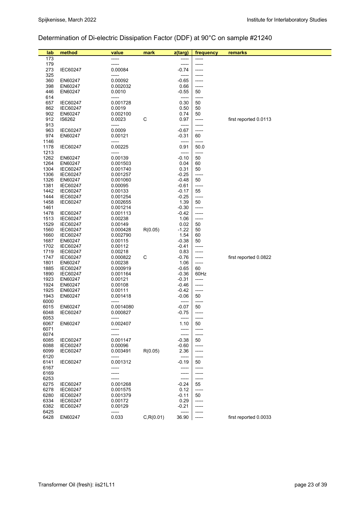# Determination of Di-electric Dissipation Factor (DDF) at 90°C on sample #21240

| lab          | method                     | value                | mark       | z(targ)            | frequency      | remarks               |
|--------------|----------------------------|----------------------|------------|--------------------|----------------|-----------------------|
| 173          |                            | $- - - - -$          |            |                    | -----          |                       |
| 179          |                            |                      |            | -----              | -----          |                       |
| 273          | IEC60247                   | 0.00084              |            | $-0.74$            | -----          |                       |
| 325<br>360   | EN60247                    | -----<br>0.00092     |            | -----<br>$-0.65$   | -----          |                       |
| 398          | EN60247                    | 0.002032             |            | 0.66               | -----          |                       |
| 446          | EN60247                    | 0.0010               |            | $-0.55$            | 50             |                       |
| 614          |                            | ------               |            | -----              | -----          |                       |
| 657          | <b>IEC60247</b>            | 0.001728             |            | 0.30               | 50             |                       |
| 862          | <b>IEC60247</b>            | 0.0019               |            | 0.50               | 50             |                       |
| 902          | EN60247                    | 0.002100             |            | 0.74               | 50             |                       |
| 912<br>913   | IS6262                     | 0.0023               | C          | 0.97               | -----<br>----- | first reported 0.0113 |
| 963          | IEC60247                   | -----<br>0.0009      |            | -----<br>$-0.67$   | -----          |                       |
| 974          | EN60247                    | 0.00121              |            | $-0.31$            | 60             |                       |
| 1146         |                            | -----                |            | -----              | -----          |                       |
| 1178         | IEC60247                   | 0.00225              |            | 0.91               | 50.0           |                       |
| 1213         |                            | -----                |            | -----              | -----          |                       |
| 1262         | EN60247                    | 0.00139              |            | $-0.10$            | 50             |                       |
| 1264         | EN60247                    | 0.001503             |            | 0.04               | 60             |                       |
| 1304         | <b>IEC60247</b>            | 0.001740             |            | 0.31               | 50             |                       |
| 1306<br>1326 | <b>IEC60247</b><br>EN60247 | 0.001257<br>0.001060 |            | $-0.25$<br>$-0.48$ | -----<br>50    |                       |
| 1381         | <b>IEC60247</b>            | 0.00095              |            | $-0.61$            | -----          |                       |
| 1442         | <b>IEC60247</b>            | 0.00133              |            | $-0.17$            | 55             |                       |
| 1444         | <b>IEC60247</b>            | 0.001254             |            | $-0.25$            | -----          |                       |
| 1458         | <b>IEC60247</b>            | 0.002655             |            | 1.39               | 50             |                       |
| 1461         |                            | 0.001214             |            | $-0.30$            | -----          |                       |
| 1478         | <b>IEC60247</b>            | 0.001113             |            | $-0.42$            | -----          |                       |
| 1513         | <b>IEC60247</b>            | 0.00238              |            | 1.06               | -----          |                       |
| 1529         | <b>IEC60247</b>            | 0.00149              |            | 0.02               | 50             |                       |
| 1560         | <b>IEC60247</b>            | 0.000428             | R(0.05)    | $-1.22$            | 50             |                       |
| 1660<br>1687 | <b>IEC60247</b><br>EN60247 | 0.002790<br>0.00115  |            | 1.54<br>$-0.38$    | 60<br>50       |                       |
| 1702         | <b>IEC60247</b>            | 0.00112              |            | $-0.41$            | -----          |                       |
| 1719         | <b>IEC60247</b>            | 0.00218              |            | 0.83               | -----          |                       |
| 1747         | <b>IEC60247</b>            | 0.000822             | C          | $-0.76$            | -----          | first reported 0.0822 |
| 1801         | EN60247                    | 0.00238              |            | 1.06               | -----          |                       |
| 1885         | <b>IEC60247</b>            | 0.000919             |            | $-0.65$            | 60             |                       |
| 1890         | <b>IEC60247</b>            | 0.001164             |            | $-0.36$            | 60Hz           |                       |
| 1923         | EN60247                    | 0.00121              |            | $-0.31$            | -----          |                       |
| 1924<br>1925 | EN60247<br>EN60247         | 0.00108<br>0.00111   |            | $-0.46$<br>$-0.42$ | -----<br>----- |                       |
| 1943         | EN60247                    | 0.001418             |            | $-0.06$            | 50             |                       |
| 6000         |                            | -----                |            |                    | -----          |                       |
| 6015         | EN60247                    | 0.0014080            |            | $-0.07$            | 50             |                       |
| 6048         | <b>IEC60247</b>            | 0.000827             |            | $-0.75$            | -----          |                       |
| 6053         |                            | -----                |            | -----              | -----          |                       |
| 6067         | EN60247                    | 0.002407             |            | 1.10               | 50             |                       |
| 6071<br>6074 |                            |                      |            | -----<br>-----     | -----<br>----- |                       |
| 6085         | IEC60247                   | 0.001147             |            | $-0.38$            | 50             |                       |
| 6088         | <b>IEC60247</b>            | 0.00096              |            | $-0.60$            | -----          |                       |
| 6099         | <b>IEC60247</b>            | 0.003491             | R(0.05)    | 2.36               | -----          |                       |
| 6120         |                            | -----                |            | -----              | -----          |                       |
| 6141         | <b>IEC60247</b>            | 0.001312             |            | $-0.19$            | 50             |                       |
| 6167         |                            | ------               |            | -----              | -----          |                       |
| 6169         |                            | -----                |            | -----              | -----          |                       |
| 6253<br>6275 | <b>IEC60247</b>            | 0.001268             |            | -----<br>$-0.24$   | -----<br>55    |                       |
| 6278         | <b>IEC60247</b>            | 0.001575             |            | 0.12               | -----          |                       |
| 6280         | <b>IEC60247</b>            | 0.001379             |            | $-0.11$            | 50             |                       |
| 6334         | <b>IEC60247</b>            | 0.00172              |            | 0.29               | -----          |                       |
| 6382         | <b>IEC60247</b>            | 0.00129              |            | $-0.21$            | -----          |                       |
| 6425         |                            | -----                |            |                    |                |                       |
| 6428         | EN60247                    | 0.033                | C, R(0.01) | 36.90              | $-----$        | first reported 0.0033 |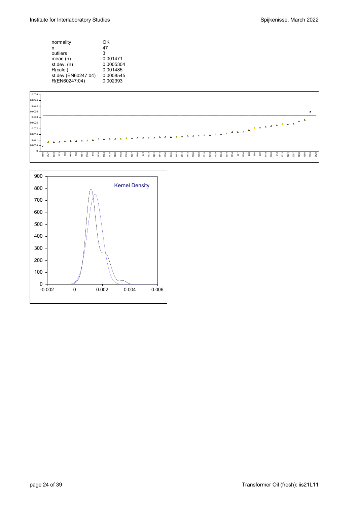| normality<br>n<br>outliers<br>mean $(n)$<br>st.dev. (n) | ΩK<br>47<br>3<br>0.001471<br>0.0005304 |
|---------------------------------------------------------|----------------------------------------|
|                                                         |                                        |
|                                                         |                                        |
| R(calc.)                                                | 0.001485                               |
| st.dev.(EN60247:04)                                     | 0.0008545                              |
| R(EN60247:04)                                           | 0.002393                               |
|                                                         |                                        |



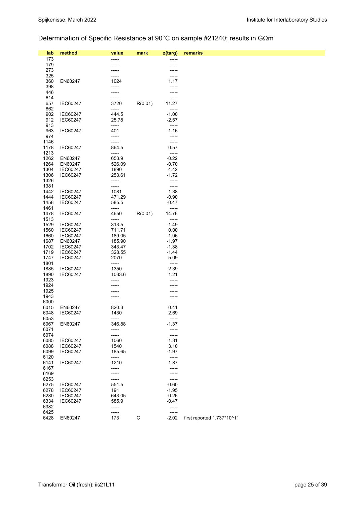# Determination of Specific Resistance at 90°C on sample #21240; results in G $\Omega$ m

| lab          | method          | value          | mark    | z(targ)          | remarks                    |
|--------------|-----------------|----------------|---------|------------------|----------------------------|
| 173          |                 |                |         |                  |                            |
| 179          |                 |                |         |                  |                            |
| 273          |                 |                |         |                  |                            |
| 325          |                 |                |         |                  |                            |
| 360          | EN60247         | 1024           |         | 1.17             |                            |
| 398          |                 |                |         | -----            |                            |
| 446          |                 |                |         |                  |                            |
| 614          |                 | -----          |         | -----            |                            |
| 657          | <b>IEC60247</b> | 3720           | R(0.01) | 11.27            |                            |
| 862          |                 | -----          |         | -----            |                            |
| 902          | <b>IEC60247</b> | 444.5          |         | $-1.00$          |                            |
| 912          | <b>IEC60247</b> | 25.78          |         | $-2.57$          |                            |
| 913          |                 | -----          |         | -----            |                            |
| 963<br>974   | <b>IEC60247</b> | 401<br>-----   |         | $-1.16$<br>----- |                            |
| 1146         |                 | -----          |         | -----            |                            |
| 1178         | <b>IEC60247</b> | 864.5          |         | 0.57             |                            |
| 1213         |                 | -----          |         | -----            |                            |
| 1262         | EN60247         | 653.9          |         | $-0.22$          |                            |
| 1264         | EN60247         | 526.09         |         | $-0.70$          |                            |
| 1304         | <b>IEC60247</b> | 1890           |         | 4.42             |                            |
| 1306         | IEC60247        | 253.61         |         | $-1.72$          |                            |
| 1326         |                 | -----          |         | -----            |                            |
| 1381         |                 | -----          |         | -----            |                            |
| 1442         | <b>IEC60247</b> | 1081           |         | 1.38             |                            |
| 1444         | <b>IEC60247</b> | 471.29         |         | $-0.90$          |                            |
| 1458         | <b>IEC60247</b> | 585.5          |         | $-0.47$          |                            |
| 1461         |                 | -----          |         | -----            |                            |
| 1478         | IEC60247        | 4650<br>-----  | R(0.01) | 14.76<br>-----   |                            |
| 1513<br>1529 | <b>IEC60247</b> | 313.5          |         | $-1.49$          |                            |
| 1560         | <b>IEC60247</b> | 711.71         |         | 0.00             |                            |
| 1660         | <b>IEC60247</b> | 189.05         |         | $-1.96$          |                            |
| 1687         | EN60247         | 185.90         |         | $-1.97$          |                            |
| 1702         | <b>IEC60247</b> | 343.47         |         | $-1.38$          |                            |
| 1719         | <b>IEC60247</b> | 328.55         |         | $-1.44$          |                            |
| 1747         | <b>IEC60247</b> | 2070           |         | 5.09             |                            |
| 1801         |                 | -----          |         | -----            |                            |
| 1885         | IEC60247        | 1350           |         | 2.39             |                            |
| 1890         | <b>IEC60247</b> | 1033.6         |         | 1.21             |                            |
| 1923         |                 |                |         | -----            |                            |
| 1924         |                 |                |         |                  |                            |
| 1925         |                 |                |         |                  |                            |
| 1943<br>6000 |                 |                |         | -----            |                            |
| 6015         | EN60247         | 820.3          |         | 0.41             |                            |
| 6048         | <b>IEC60247</b> | 1430           |         | 2.69             |                            |
| 6053         |                 | -----          |         | -----            |                            |
| 6067         | EN60247         | 346.88         |         | $-1.37$          |                            |
| 6071         |                 | -----          |         | -----            |                            |
| 6074         |                 | -----          |         | -----            |                            |
| 6085         | <b>IEC60247</b> | 1060           |         | 1.31             |                            |
| 6088         | IEC60247        | 1540           |         | 3.10             |                            |
| 6099         | <b>IEC60247</b> | 185.65         |         | $-1.97$          |                            |
| 6120         |                 | -----          |         | -----            |                            |
| 6141         | IEC60247        | 1210           |         | 1.87             |                            |
| 6167<br>6169 |                 | -----<br>----- |         | -----<br>-----   |                            |
| 6253         |                 |                |         | -----            |                            |
| 6275         | IEC60247        | 551.5          |         | $-0.60$          |                            |
| 6278         | <b>IEC60247</b> | 191            |         | $-1.95$          |                            |
| 6280         | <b>IEC60247</b> | 643.05         |         | $-0.26$          |                            |
| 6334         | <b>IEC60247</b> | 585.9          |         | $-0.47$          |                            |
| 6382         |                 | -----          |         | -----            |                            |
| 6425         |                 | -----          |         | -----            |                            |
| 6428         | EN60247         | 173            | C       | $-2.02$          | first reported 1,737*10^11 |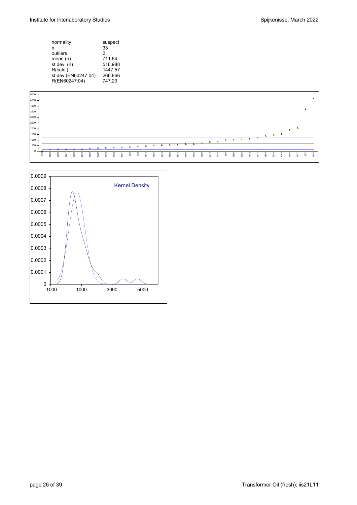| normality           | suspect |
|---------------------|---------|
| n                   | 33      |
| outliers            | 2       |
| mean (n)            | 711.64  |
| st.dev. (n)         | 516.988 |
| R(calc.)            | 1447.57 |
| st.dev.(EN60247:04) | 266.866 |
| R(EN60247:04)       | 747.23  |
|                     |         |



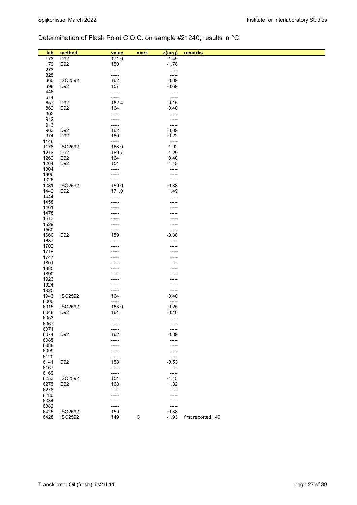# Determination of Flash Point C.O.C. on sample #21240; results in °C

| lab          | method         | value          | mark        | z(targ)        | remarks            |
|--------------|----------------|----------------|-------------|----------------|--------------------|
| 173          | D92            | 171.0          |             | 1.49           |                    |
| 179          | D92            | 150            |             | $-1.78$        |                    |
| 273          |                | -----          |             | -----          |                    |
| 325          |                | -----          |             | -----          |                    |
| 360          | ISO2592        | 162            |             | 0.09           |                    |
| 398          | D92            | 157            |             | $-0.69$        |                    |
| 446          |                | -----          |             | -----          |                    |
| 614          |                | -----          |             | -----          |                    |
| 657          | D92            | 162.4          |             | 0.15           |                    |
| 862          | D92            | 164            |             | 0.40           |                    |
| 902<br>912   |                | -----<br>----- |             | -----<br>----- |                    |
| 913          |                | -----          |             | -----          |                    |
| 963          | D92            | 162            |             | 0.09           |                    |
| 974          | D92            | 160            |             | $-0.22$        |                    |
| 1146         |                | -----          |             | -----          |                    |
| 1178         | ISO2592        | 168.0          |             | 1.02           |                    |
| 1213         | D92            | 169.7          |             | 1.29           |                    |
| 1262         | D92            | 164            |             | 0.40           |                    |
| 1264         | D92            | 154            |             | $-1.15$        |                    |
| 1304         |                |                |             | -----          |                    |
| 1306         |                | -----          |             | -----          |                    |
| 1326         | ISO2592        | -----          |             | -----          |                    |
| 1381         |                | 159.0          |             | $-0.38$        |                    |
| 1442<br>1444 | D92            | 171.0<br>----- |             | 1.49<br>-----  |                    |
| 1458         |                |                |             |                |                    |
| 1461         |                |                |             |                |                    |
| 1478         |                |                |             |                |                    |
| 1513         |                |                |             |                |                    |
| 1529         |                |                |             |                |                    |
| 1560         |                |                |             | -----          |                    |
| 1660         | D92            | 159            |             | $-0.38$        |                    |
| 1687         |                |                |             | -----          |                    |
| 1702         |                |                |             |                |                    |
| 1719         |                |                |             |                |                    |
| 1747<br>1801 |                |                |             |                |                    |
| 1885         |                |                |             |                |                    |
| 1890         |                |                |             |                |                    |
| 1923         |                |                |             |                |                    |
| 1924         |                |                |             |                |                    |
| 1925         |                |                |             | -----          |                    |
| 1943         | ISO2592        | 164            |             | 0.40           |                    |
| 6000         |                | -----          |             | -----          |                    |
| 6015         | ISO2592        | 163.0          |             | 0.25           |                    |
| 6048         | D92            | 164            |             | 0.40           |                    |
| 6053<br>6067 |                |                |             |                |                    |
| 6071         |                |                |             | -----<br>----- |                    |
| 6074         | D92            | 162            |             | 0.09           |                    |
| 6085         |                | -----          |             | -----          |                    |
| 6088         |                |                |             | -----          |                    |
| 6099         |                |                |             | -----          |                    |
| 6120         |                | -----          |             | -----          |                    |
| 6141         | D92            | 158            |             | $-0.53$        |                    |
| 6167         |                | -----          |             | -----          |                    |
| 6169         |                | -----          |             | -----          |                    |
| 6253         | <b>ISO2592</b> | 154            |             | $-1.15$        |                    |
| 6275         | D92            | 168            |             | 1.02           |                    |
| 6278<br>6280 |                | -----          |             | -----<br>----- |                    |
| 6334         |                |                |             | -----          |                    |
| 6382         |                | -----          |             | -----          |                    |
| 6425         | ISO2592        | 159            |             | $-0.38$        |                    |
| 6428         | ISO2592        | 149            | $\mathsf C$ | $-1.93$        | first reported 140 |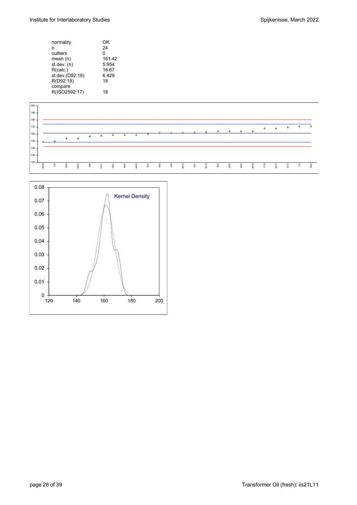| normality       | OK     |
|-----------------|--------|
| n               | 24     |
| outliers        | 0      |
| mean (n)        | 161.42 |
| st.dev. (n)     | 5.954  |
| R(calc.)        | 16.67  |
| st.dev.(D92:18) | 6.429  |
| R(D92:18)       | 18     |
| compare         |        |
| R(ISO2592:17)   | 18     |
|                 |        |



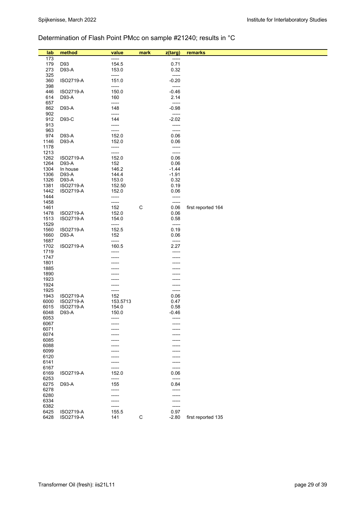# Determination of Flash Point PMcc on sample #21240; results in °C

| lab          | method                 | value          | mark        | z(targ)         | remarks            |
|--------------|------------------------|----------------|-------------|-----------------|--------------------|
| 173          |                        | -----          |             | -----           |                    |
| 179          | D93                    | 154.5          |             | 0.71            |                    |
| 273          | D93-A                  | 153.0          |             | 0.32            |                    |
| 325          |                        | -----          |             | -----           |                    |
| 360          | ISO2719-A              | 151.0          |             | $-0.20$         |                    |
| 398          |                        | -----          |             | -----           |                    |
| 446          | ISO2719-A              | 150.0          |             | $-0.46$         |                    |
| 614          | D93-A                  | 160<br>-----   |             | 2.14<br>-----   |                    |
| 657<br>862   | D93-A                  | 148            |             | $-0.98$         |                    |
| 902          |                        | -----          |             | -----           |                    |
| 912          | D93-C                  | 144            |             | $-2.02$         |                    |
| 913          |                        | -----          |             | -----           |                    |
| 963          |                        | -----          |             | -----           |                    |
| 974          | D93-A                  | 152.0          |             | 0.06            |                    |
| 1146         | D93-A                  | 152.0          |             | 0.06            |                    |
| 1178<br>1213 |                        | -----<br>----- |             | -----<br>-----  |                    |
| 1262         | ISO2719-A              | 152.0          |             | 0.06            |                    |
| 1264         | D93-A                  | 152            |             | 0.06            |                    |
| 1304         | In house               | 146.2          |             | $-1.44$         |                    |
| 1306         | D93-A                  | 144.4          |             | $-1.91$         |                    |
| 1326         | D93-A                  | 153.0          |             | 0.32            |                    |
| 1381         | ISO2719-A              | 152.50         |             | 0.19            |                    |
| 1442         | ISO2719-A              | 152.0          |             | 0.06            |                    |
| 1444<br>1458 |                        | -----          |             | -----           |                    |
| 1461         |                        | -----<br>152   | $\mathsf C$ | -----<br>0.06   | first reported 164 |
| 1478         | ISO2719-A              | 152.0          |             | 0.06            |                    |
| 1513         | ISO2719-A              | 154.0          |             | 0.58            |                    |
| 1529         |                        | -----          |             | -----           |                    |
| 1560         | ISO2719-A              | 152.5          |             | 0.19            |                    |
| 1660         | D93-A                  | 152            |             | 0.06            |                    |
| 1687<br>1702 | ISO2719-A              | -----<br>160.5 |             | -----<br>2.27   |                    |
| 1719         |                        | -----          |             | -----           |                    |
| 1747         |                        |                |             |                 |                    |
| 1801         |                        |                |             |                 |                    |
| 1885         |                        |                |             |                 |                    |
| 1890         |                        |                |             |                 |                    |
| 1923<br>1924 |                        |                |             |                 |                    |
| 1925         |                        | -----          |             | -----<br>-----  |                    |
| 1943         | ISO2719-A              | 152            |             | 0.06            |                    |
| 6000         | ISO2719-A              | 153.5713       |             | 0.47            |                    |
| 6015         | ISO2719-A              | 154.0          |             | 0.58            |                    |
| 6048         | D93-A                  | 150.0          |             | $-0.46$         |                    |
| 6053         |                        |                |             |                 |                    |
| 6067<br>6071 |                        |                |             |                 |                    |
| 6074         |                        |                |             | ---             |                    |
| 6085         |                        |                |             |                 |                    |
| 6088         |                        |                |             | ----            |                    |
| 6099         |                        |                |             |                 |                    |
| 6120         |                        |                |             |                 |                    |
| 6141         |                        |                |             | -----           |                    |
| 6167<br>6169 | ISO2719-A              | -----<br>152.0 |             | -----<br>0.06   |                    |
| 6253         |                        | -----          |             | -----           |                    |
| 6275         | D93-A                  | 155            |             | 0.84            |                    |
| 6278         |                        | $- - - - -$    |             | -----           |                    |
| 6280         |                        | -----          |             | -----           |                    |
| 6334         |                        |                |             | -----           |                    |
| 6382         |                        |                |             | -----           |                    |
| 6425<br>6428 | ISO2719-A<br>ISO2719-A | 155.5<br>141   | C           | 0.97<br>$-2.80$ | first reported 135 |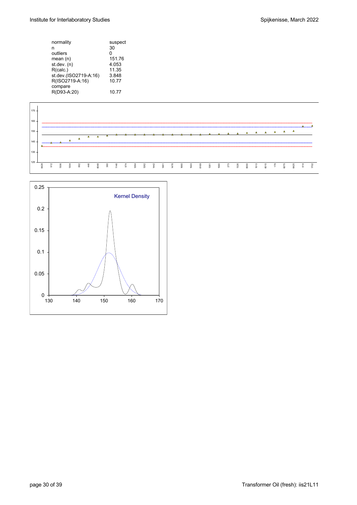| normality             | suspect |
|-----------------------|---------|
| n                     | 30      |
| outliers              | 0       |
| mean $(n)$            | 151.76  |
| st.dev. (n)           | 4.053   |
| R(calc.)              | 11.35   |
| st.dev.(ISO2719-A.16) | 3.848   |
| R(ISO2719-A:16)       | 10.77   |
| compare               |         |
| R(D93-A:20)           | 10.77   |
|                       |         |



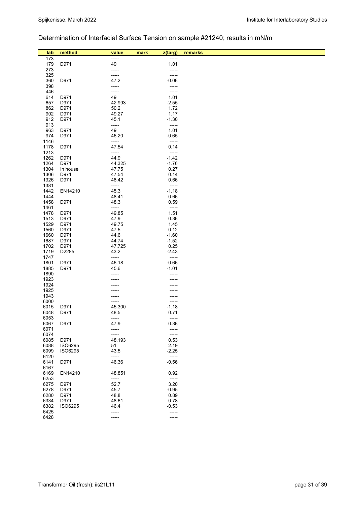# Determination of Interfacial Surface Tension on sample #21240; results in mN/m

| lab<br>173   | method          | value<br>----- | mark<br>z(targ)<br>----- | remarks |
|--------------|-----------------|----------------|--------------------------|---------|
| 179          | D971            | 49             | 1.01                     |         |
| 273          |                 | -----          | -----                    |         |
| 325          |                 | -----          | -----                    |         |
| 360          | D971            | 47.2           | $-0.06$                  |         |
| 398          |                 | -----          | -----                    |         |
| 446          |                 | -----          | -----                    |         |
| 614          | D971            | 49             | 1.01                     |         |
| 657          | D971            | 42.993         | $-2.55$                  |         |
| 862<br>902   | D971<br>D971    | 50.2<br>49.27  | 1.72<br>1.17             |         |
| 912          | D971            | 45.1           | $-1.30$                  |         |
| 913          |                 | -----          | $-----$                  |         |
| 963          | D971            | 49             | 1.01                     |         |
| 974          | D971            | 46.20          | $-0.65$                  |         |
| 1146         |                 | -----          | -----                    |         |
| 1178         | D971            | 47.54          | 0.14                     |         |
| 1213         |                 | -----          | -----                    |         |
| 1262         | D971            | 44.9           | $-1.42$                  |         |
| 1264         | D971            | 44.325         | $-1.76$                  |         |
| 1304         | In house        | 47.75          | 0.27                     |         |
| 1306<br>1326 | D971<br>D971    | 47.54<br>48.42 | 0.14<br>0.66             |         |
| 1381         |                 | -----          | $\frac{1}{2}$            |         |
| 1442         | EN14210         | 45.3           | $-1.18$                  |         |
| 1444         |                 | 48.41          | 0.66                     |         |
| 1458         | D971            | 48.3           | 0.59                     |         |
| 1461         |                 | -----          | -----                    |         |
| 1478         | D971            | 49.85          | 1.51                     |         |
| 1513         | D971            | 47.9           | 0.36                     |         |
| 1529         | D971            | 49.75          | 1.45                     |         |
| 1560<br>1660 | D971<br>D971    | 47.5<br>44.6   | 0.12<br>$-1.60$          |         |
| 1687         | D971            | 44.74          | $-1.52$                  |         |
| 1702         | D971            | 47.725         | 0.25                     |         |
| 1719         | D2285           | 43.2           | $-2.43$                  |         |
| 1747         |                 | -----          | -----                    |         |
| 1801         | D971            | 46.18          | $-0.66$                  |         |
| 1885         | D971            | 45.6           | $-1.01$                  |         |
| 1890         |                 |                |                          |         |
| 1923         |                 |                |                          |         |
| 1924<br>1925 |                 |                |                          |         |
| 1943         |                 |                |                          |         |
| 6000         |                 | -----          | -----                    |         |
| 6015         | D971            | 45.300         | $-1.18$                  |         |
| 6048         | D971            | 48.5           | 0.71                     |         |
| 6053         |                 | -----          | -----                    |         |
| 6067         | D971            | 47.9           | 0.36                     |         |
| 6071         |                 | -----          | -----                    |         |
| 6074         |                 | -----          | -----                    |         |
| 6085<br>6088 | D971<br>ISO6295 | 48.193<br>51   | 0.53<br>2.19             |         |
| 6099         | <b>ISO6295</b>  | 43.5           | $-2.25$                  |         |
| 6120         |                 | -----          | -----                    |         |
| 6141         | D971            | 46.36          | $-0.56$                  |         |
| 6167         |                 | -----          | -----                    |         |
| 6169         | EN14210         | 48.851         | 0.92                     |         |
| 6253         |                 | -----          | -----                    |         |
| 6275         | D971            | 52.7           | 3.20                     |         |
| 6278         | D971            | 45.7           | $-0.95$                  |         |
| 6280         | D971<br>D971    | 48.8           | 0.89                     |         |
| 6334<br>6382 | <b>ISO6295</b>  | 48.61<br>46.4  | 0.78<br>$-0.53$          |         |
| 6425         |                 | -----          | -----                    |         |
| 6428         |                 |                |                          |         |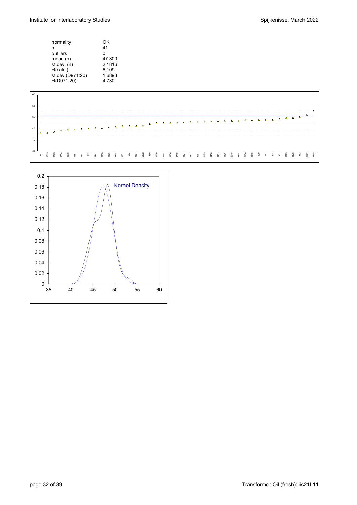| normality        | OK     |
|------------------|--------|
| n                | 41     |
| outliers         | 0      |
| mean $(n)$       | 47.300 |
| st.dev. (n)      | 2.1816 |
| R(calc.)         | 6.109  |
| st.dev.(D971:20) | 1.6893 |
| R(D971:20)       | 4.730  |
|                  |        |



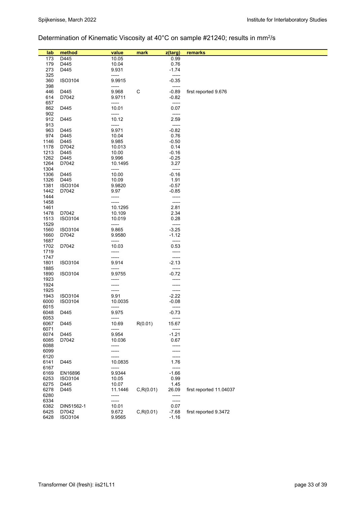# Determination of Kinematic Viscosity at 40°C on sample #21240; results in mm<sup>2</sup>/s

| lab          | method           | value           | mark       | z(targ)              | remarks                 |
|--------------|------------------|-----------------|------------|----------------------|-------------------------|
| 173          | D <sub>445</sub> | 10.05           |            | 0.99                 |                         |
| 179          | D445             | 10.04           |            | 0.76                 |                         |
| 273          | D445             | 9.931           |            | $-1.74$              |                         |
| 325          |                  | -----           |            | -----                |                         |
| 360          | ISO3104          | 9.9915          |            | $-0.35$              |                         |
| 398          |                  | -----           |            | -----                |                         |
| 446          | D445             | 9.968           | C          | $-0.89$              | first reported 9.676    |
| 614          | D7042            | 9.9711          |            | $-0.82$              |                         |
| 657          |                  | -----           |            | -----                |                         |
| 862          | D445             | 10.01           |            | 0.07                 |                         |
| 902          | D445             | -----           |            | -----<br>2.59        |                         |
| 912<br>913   |                  | 10.12<br>-----  |            | -----                |                         |
| 963          | D445             | 9.971           |            | $-0.82$              |                         |
| 974          | D445             | 10.04           |            | 0.76                 |                         |
| 1146         | D445             | 9.985           |            | $-0.50$              |                         |
| 1178         | D7042            | 10.013          |            | 0.14                 |                         |
| 1213         | D445             | 10.00           |            | $-0.16$              |                         |
| 1262         | D445             | 9.996           |            | $-0.25$              |                         |
| 1264         | D7042            | 10.1495         |            | 3.27                 |                         |
| 1304         |                  | -----           |            | -----                |                         |
| 1306<br>1326 | D445<br>D445     | 10.00<br>10.09  |            | $-0.16$<br>1.91      |                         |
| 1381         | ISO3104          | 9.9820          |            | $-0.57$              |                         |
| 1442         | D7042            | 9.97            |            | $-0.85$              |                         |
| 1444         |                  | -----           |            | -----                |                         |
| 1458         |                  | -----           |            | -----                |                         |
| 1461         |                  | 10.1295         |            | 2.81                 |                         |
| 1478         | D7042            | 10.109          |            | 2.34                 |                         |
| 1513         | ISO3104          | 10.019          |            | 0.28                 |                         |
| 1529         |                  | -----           |            | -----                |                         |
| 1560         | ISO3104          | 9.865           |            | $-3.25$              |                         |
| 1660<br>1687 | D7042            | 9.9580<br>----- |            | $-1.12$<br>-----     |                         |
| 1702         | D7042            | 10.03           |            | 0.53                 |                         |
| 1719         |                  | -----           |            | -----                |                         |
| 1747         |                  | -----           |            | -----                |                         |
| 1801         | ISO3104          | 9.914           |            | $-2.13$              |                         |
| 1885         |                  | -----           |            | -----                |                         |
| 1890         | ISO3104          | 9.9755          |            | $-0.72$              |                         |
| 1923         |                  | -----           |            | -----                |                         |
| 1924         |                  | -----           |            | -----                |                         |
| 1925<br>1943 | ISO3104          | -----<br>9.91   |            | -----<br>$-2.22$     |                         |
| 6000         | ISO3104          | 10.0035         |            | $-0.08$              |                         |
| 6015         |                  | -----           |            | $-----$              |                         |
| 6048         | D445             | 9.975           |            | $-0.73$              |                         |
| 6053         |                  | -----           |            | -----                |                         |
| 6067         | D445             | 10.69           | R(0.01)    | 15.67                |                         |
| 6071         |                  | -----           |            | -----                |                         |
| 6074         | D445             | 9.954           |            | $-1.21$              |                         |
| 6085<br>6088 | D7042            | 10.036          |            | 0.67                 |                         |
| 6099         |                  | -----<br>-----  |            | -----<br>-----       |                         |
| 6120         |                  |                 |            | -----                |                         |
| 6141         | D445             | 10.0835         |            | 1.76                 |                         |
| 6167         |                  | -----           |            | -----                |                         |
| 6169         | EN16896          | 9.9344          |            | $-1.66$              |                         |
| 6253         | ISO3104          | 10.05           |            | 0.99                 |                         |
| 6275         | D445             | 10.07           |            | 1.45                 |                         |
| 6278         | D445             | 11.1446         | C, R(0.01) | 26.09                | first reported 11.04037 |
| 6280<br>6334 |                  | -----           |            | $- - - - -$<br>----- |                         |
| 6382         | DIN51562-1       | -----<br>10.01  |            | 0.07                 |                         |
| 6425         | D7042            | 9.672           | C, R(0.01) | $-7.68$              | first reported 9.3472   |
| 6428         | ISO3104          | 9.9565          |            | $-1.16$              |                         |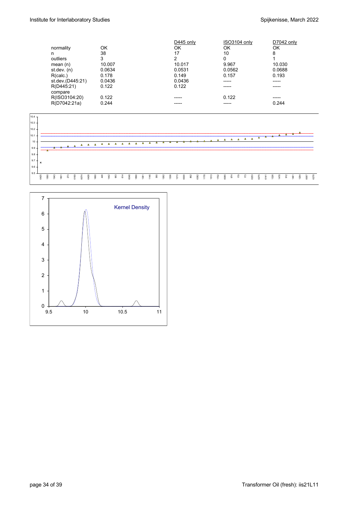|                  |        | D445 only | ISO3104 only | D7042 only |
|------------------|--------|-----------|--------------|------------|
| normality        | OK     | ΟK        | ΟK           | ΟK         |
| n                | 38     | 17        | 10           | 8          |
| outliers         | 3      | っ         | 0            |            |
| mean $(n)$       | 10.007 | 10.017    | 9.967        | 10.030     |
| st.dev. $(n)$    | 0.0634 | 0.0531    | 0.0562       | 0.0688     |
| R(calc.)         | 0.178  | 0.149     | 0.157        | 0.193      |
| st.dev.(D445:21) | 0.0436 | 0.0436    | -----        | ------     |
| R(D445:21)       | 0.122  | 0.122     | -----        | -----      |
| compare          |        |           |              |            |
| R(ISO3104:20)    | 0.122  | -----     | 0.122        | -----      |
| R(D7042:21a)     | 0.244  |           | -----        | 0.244      |
|                  |        |           |              |            |



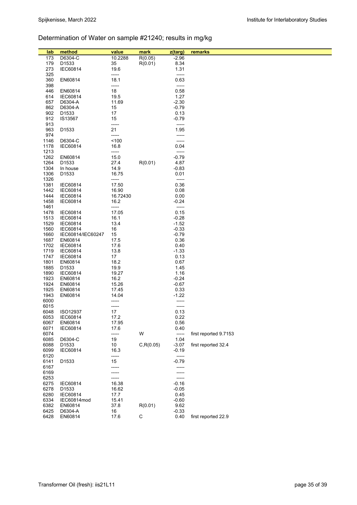# Determination of Water on sample #21240; results in mg/kg

| lab          | method               | value          | mark        | z(targ)         | remarks               |
|--------------|----------------------|----------------|-------------|-----------------|-----------------------|
| 173          | D6304-C              | 10.2288        | R(0.05)     | $-2.96$         |                       |
| 179          | D1533                | 35             | R(0.01)     | 8.34            |                       |
| 273          | <b>IEC60814</b>      | 19.6           |             | 1.31            |                       |
| 325          |                      | -----          |             | -----           |                       |
| 360          | EN60814              | 18.1           |             | 0.63            |                       |
| 398<br>446   | EN60814              | -----<br>18    |             | -----<br>0.58   |                       |
| 614          | <b>IEC60814</b>      | 19.5           |             | 1.27            |                       |
| 657          | D6304-A              | 11.69          |             | $-2.30$         |                       |
| 862          | D6304-A              | 15             |             | $-0.79$         |                       |
| 902          | D1533                | 17             |             | 0.13            |                       |
| 912          | IS13567              | 15             |             | $-0.79$         |                       |
| 913          |                      | -----          |             | -----           |                       |
| 963          | D1533                | 21             |             | 1.95            |                       |
| 974          |                      | -----          |             | -----           |                       |
| 1146<br>1178 | D6304-C<br>IEC60814  | 100<br>16.8    |             | -----<br>0.04   |                       |
| 1213         |                      | -----          |             | -----           |                       |
| 1262         | EN60814              | 15.0           |             | $-0.79$         |                       |
| 1264         | D <sub>1533</sub>    | 27.4           | R(0.01)     | 4.87            |                       |
| 1304         | In house             | 14.9           |             | $-0.83$         |                       |
| 1306         | D1533                | 16.75          |             | 0.01            |                       |
| 1326         |                      | -----          |             | -----           |                       |
| 1381         | IEC60814             | 17.50<br>16.90 |             | 0.36            |                       |
| 1442<br>1444 | IEC60814<br>IEC60814 | 16.72430       |             | 0.08<br>0.00    |                       |
| 1458         | IEC60814             | 16.2           |             | $-0.24$         |                       |
| 1461         |                      | -----          |             | -----           |                       |
| 1478         | IEC60814             | 17.05          |             | 0.15            |                       |
| 1513         | <b>IEC60814</b>      | 16.1           |             | $-0.28$         |                       |
| 1529         | IEC60814             | 13.4           |             | $-1.52$         |                       |
| 1560         | <b>IEC60814</b>      | 16             |             | $-0.33$         |                       |
| 1660<br>1687 | IEC60814/IEC60247    | 15             |             | $-0.79$<br>0.36 |                       |
| 1702         | EN60814<br>IEC60814  | 17.5<br>17.6   |             | 0.40            |                       |
| 1719         | IEC60814             | 13.8           |             | $-1.33$         |                       |
| 1747         | IEC60814             | 17             |             | 0.13            |                       |
| 1801         | EN60814              | 18.2           |             | 0.67            |                       |
| 1885         | D1533                | 19.9           |             | 1.45            |                       |
| 1890         | IEC60814             | 19.27          |             | 1.16            |                       |
| 1923         | EN60814              | 16.2           |             | $-0.24$         |                       |
| 1924<br>1925 | EN60814<br>EN60814   | 15.26<br>17.45 |             | $-0.67$         |                       |
| 1943         | EN60814              | 14.04          |             | 0.33<br>$-1.22$ |                       |
| 6000         |                      | -----          |             | -----           |                       |
| 6015         |                      | -----          |             | -----           |                       |
| 6048         | ISO12937             | 17             |             | 0.13            |                       |
| 6053         | IEC60814             | 17.2           |             | 0.22            |                       |
| 6067         | EN60814              | 17.95          |             | 0.56            |                       |
| 6071<br>6074 | IEC60814             | 17.6<br>-----  | W           | 0.40<br>$-----$ | first reported 9.7153 |
| 6085         | D6304-C              | 19             |             | 1.04            |                       |
| 6088         | D1533                | 10             | C, R(0.05)  | $-3.07$         | first reported 32.4   |
| 6099         | IEC60814             | 16.3           |             | $-0.19$         |                       |
| 6120         |                      | -----          |             | $-----$         |                       |
| 6141         | D1533                | 15             |             | $-0.79$         |                       |
| 6167         |                      | -----          |             | -----           |                       |
| 6169         |                      |                |             |                 |                       |
| 6253<br>6275 | IEC60814             | -----<br>16.38 |             | $-0.16$         |                       |
| 6278         | D1533                | 16.62          |             | $-0.05$         |                       |
| 6280         | IEC60814             | 17.7           |             | 0.45            |                       |
| 6334         | IEC60814mod          | 15.41          |             | $-0.60$         |                       |
| 6382         | EN60814              | 37.8           | R(0.01)     | 9.62            |                       |
| 6425         | D6304-A              | 16             |             | $-0.33$         |                       |
| 6428         | EN60814              | 17.6           | $\mathsf C$ | 0.40            | first reported 22.9   |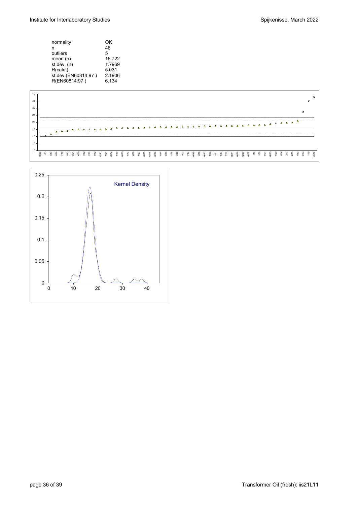| normality           | OK     |
|---------------------|--------|
| n                   | 46     |
| outliers            | 5      |
| mean $(n)$          | 16.722 |
| st.dev. (n)         | 1.7969 |
| R(calc.)            | 5.031  |
| st.dev.(EN60814:97) | 2.1906 |
| R(EN60814:97)       | 6.134  |
|                     |        |



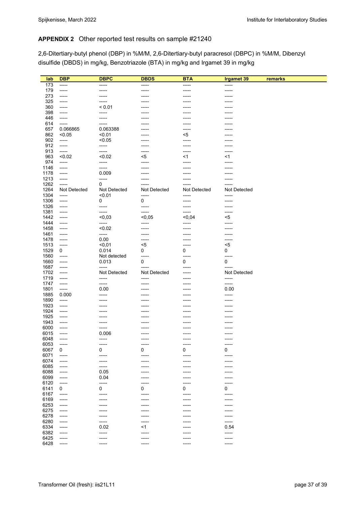### **APPENDIX 2** Other reported test results on sample #21240

2,6-Ditertiary-butyl phenol (DBP) in %M/M, 2,6-Ditertiary-butyl paracresol (DBPC) in %M/M, Dibenzyl disulfide (DBDS) in mg/kg, Benzotriazole (BTA) in mg/kg and Irgamet 39 in mg/kg

| lab          | <b>DBP</b>     | <b>DBPC</b>       | <b>DBDS</b>     | <b>BTA</b>      | <b>Irgamet 39</b> | remarks |
|--------------|----------------|-------------------|-----------------|-----------------|-------------------|---------|
| 173          | -----          | -----             | -----           | -----           | -----             |         |
| 179          | -----          | -----             | -----           | -----           | -----             |         |
| 273          | -----          | -----             | -----           | -----           | -----             |         |
| 325          | -----          | -----             | -----           |                 | -----             |         |
| 360          | -----          | < 0.01            | -----           | -----           | -----             |         |
| 398          | -----          | -----             |                 |                 | -----             |         |
| 446          | -----          | -----             | -----           | -----           | -----             |         |
| 614          | -----          |                   | -----           | -----           | -----             |         |
| 657          | 0.066865       | 0.063388          | -----           | -----           | -----             |         |
| 862          | < 0.05         | < 0.01            | -----           | $5$             | -----             |         |
| 902<br>912   | -----          | < 0.05            | -----           | -----           | -----             |         |
| 913          | -----<br>----- | -----<br>-----    | -----<br>-----  | -----<br>-----  | -----<br>-----    |         |
| 963          | < 0.02         | < 0.02            | $< 5$           | <1              | <1                |         |
| 974          | -----          | -----             | -----           | -----           | -----             |         |
| 1146         | -----          | -----             | -----           | -----           | -----             |         |
| 1178         | $-----$        | 0.009             | -----           | -----           | ------            |         |
| 1213         | -----          | -----             | -----           | -----           | -----             |         |
| 1262         | -----          | 0                 |                 |                 | -----             |         |
| 1264         | Not Detected   | Not Detected      | Not Detected    | Not Detected    | Not Detected      |         |
| 1304         | -----          | < 0.01            | -----           | -----           | -----             |         |
| 1306         | $-----$        | 0                 | 0               | -----           | -----             |         |
| 1326         | -----          | -----             | -----           | -----           | -----             |         |
| 1381<br>1442 | -----          | $-----$<br>< 0.03 | -----           | -----<br>< 0.04 | -----<br>$5$      |         |
| 1444         | -----<br>----- | -----             | < 0,05<br>----- | -----           | -----             |         |
| 1458         | -----          | < 0.02            | -----           | -----           | -----             |         |
| 1461         | -----          | -----             | -----           | -----           | -----             |         |
| 1478         | -----          | 0.00              | -----           | -----           | -----             |         |
| 1513         | $-----$        | $0,01$            | $5$             | -----           | $5$               |         |
| 1529         | 0              | 0.014             | 0               | 0               | 0                 |         |
| 1560         | $-----$        | Not detected      | $-----$         | -----           | -----             |         |
| 1660         | -----          | 0.013             | 0               | 0               | 0                 |         |
| 1687         | -----          | -----             | -----           | -----           | -----             |         |
| 1702         | -----          | Not Detected      | Not Detected    | -----           | Not Detected      |         |
| 1719<br>1747 | -----          | -----<br>-----    | -----           | -----           | -----<br>-----    |         |
| 1801         | -----<br>----- | 0.00              | -----<br>-----  | -----<br>-----  | 0.00              |         |
| 1885         | 0.000          | -----             | ------          | -----           | -----             |         |
| 1890         | -----          | -----             | ----            |                 | -----             |         |
| 1923         | -----          | -----             | -----           |                 | -----             |         |
| 1924         | -----          | -----             | -----           | -----           | -----             |         |
| 1925         | -----          | -----             |                 | -----           | -----             |         |
| 1943         | -----          | -----             | -----           | -----           | -----             |         |
| 6000         | -----          | -----             | -----           | -----           | -----             |         |
| 6015         | -----          | 0.006             | -----           | -----           | ------            |         |
| 6048         | -----          | -----             | -----           | -----           | -----             |         |
| 6053         | -----          | -----             | -----           | -----           | -----             |         |
| 6067<br>6071 | 0<br>-----     | 0<br>-----        | 0<br>-----      | 0<br>-----      | 0<br>-----        |         |
| 6074         | -----          |                   |                 |                 |                   |         |
| 6085         | -----          | -----             |                 |                 |                   |         |
| 6088         | -----          | 0.05              |                 |                 |                   |         |
| 6099         | -----          | 0.04              |                 |                 |                   |         |
| 6120         | -----          | -----             |                 |                 |                   |         |
| 6141         | 0              | 0                 | 0               | 0               | 0                 |         |
| 6167         | -----          | -----             | -----           | -----           | -----             |         |
| 6169         | -----          |                   |                 |                 |                   |         |
| 6253         | -----          |                   |                 |                 |                   |         |
| 6275         | -----          |                   |                 |                 |                   |         |
| 6278         | -----          |                   |                 |                 | -----             |         |
| 6280         | -----          |                   |                 |                 | -----             |         |
| 6334<br>6382 | -----          | 0.02              | <1              |                 | 0.54<br>-----     |         |
| 6425         | -----<br>----- | -----<br>----     |                 |                 | -----             |         |
| 6428         | -----          |                   |                 |                 | -----             |         |
|              |                |                   |                 |                 |                   |         |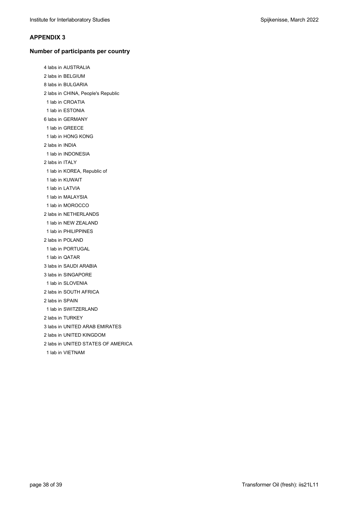#### **APPENDIX 3**

#### **Number of participants per country**

4 labs in AUSTRALIA 2 labs in BELGIUM 8 labs in BULGARIA 2 labs in CHINA, People's Republic 1 lab in CROATIA 1 lab in ESTONIA 6 labs in GERMANY 1 lab in GREECE 1 lab in HONG KONG 2 labs in INDIA 1 lab in INDONESIA 2 labs in ITALY 1 lab in KOREA, Republic of 1 lab in KUWAIT 1 lab in LATVIA 1 lab in MALAYSIA 1 lab in MOROCCO 2 labs in NETHERLANDS 1 lab in NEW ZEALAND 1 lab in PHILIPPINES 2 labs in POLAND 1 lab in PORTUGAL 1 lab in QATAR 3 labs in SAUDI ARABIA 3 labs in SINGAPORE 1 lab in SLOVENIA 2 labs in SOUTH AFRICA 2 labs in SPAIN 1 lab in SWITZERLAND 2 labs in TURKEY 3 labs in UNITED ARAB EMIRATES 2 labs in UNITED KINGDOM 2 labs in UNITED STATES OF AMERICA 1 lab in VIETNAM